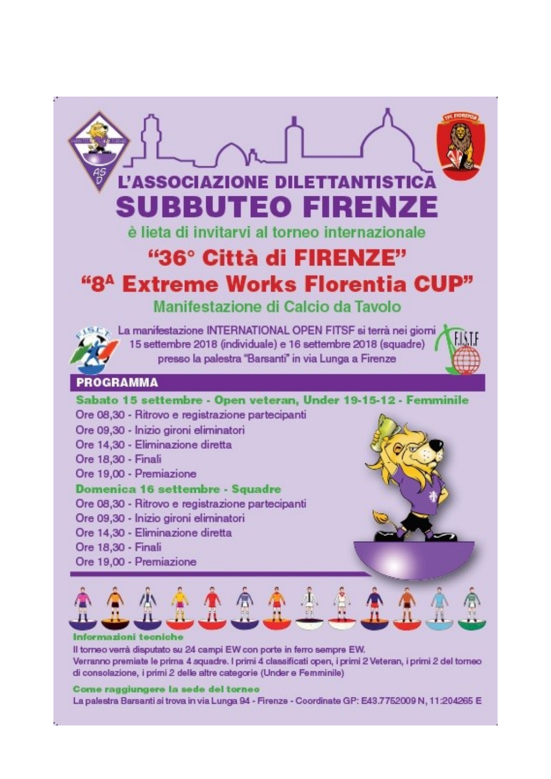

Il torneo verrà disputato su 24 campi EW con porte in ferro sempre EW. Verranno premiate le prima 4 squadre. I primi 4 classificati open, i primi 2 Veteran, i primi 2 del torneo di consolazione, i primi 2 delle altre categorie (Under e Femminile)

#### Come raggiungere la sede del torneo

La palestra Barsanti si trova in via Lunga 94 - Firenze - Coordinate GP: E43.7752009 N, 11:204265 E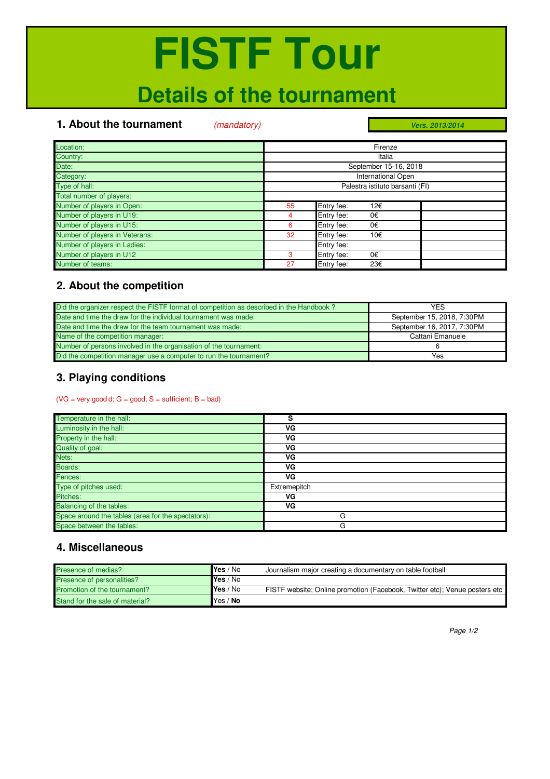### **Details of the tournament**

### **1. About the tournament** (mandatory)

*Vers. 2013/2014*

| Location:                      | Firenze                         |
|--------------------------------|---------------------------------|
| Country:                       | Italia                          |
| Date:                          | September 15-16, 2018           |
| Category:                      | <b>International Open</b>       |
| Type of hall:                  | Palestra istituto barsanti (FI) |
| Total number of players:       |                                 |
| Number of players in Open:     | Entry fee:<br>55<br>12€         |
| Number of players in U19:      | Entry fee:<br>0€<br>4           |
| Number of players in U15:      | Entry fee:<br>0€<br>6           |
| Number of players in Veterans: | Entry fee:<br>32<br>10€         |
| Number of players in Ladies:   | Entry fee:                      |
| Number of players in U12       | Entry fee:<br>0€<br>3           |
| Number of teams:               | Entry fee:<br>27<br>23€         |

### **2. About the competition**

| Did the organizer respect the FISTF format of competition as described in the Handbook? | YFS                        |
|-----------------------------------------------------------------------------------------|----------------------------|
| Date and time the draw for the individual tournament was made:                          | September 15, 2018, 7:30PM |
| Date and time the draw for the team tournament was made:                                | September 16, 2017, 7:30PM |
| Name of the competition manager:                                                        | Cattani Emanuele           |
| Number of persons involved in the organisation of the tournament:                       |                            |
| Did the competition manager use a computer to run the tournament?                       | Yes                        |

### **3. Playing conditions**

 $(VG = very good d; G = good; S = sufficient; B = bad)$ 

| Temperature in the hall:                           | s            |
|----------------------------------------------------|--------------|
| Luminosity in the hall:                            | ٧G           |
| Property in the hall:                              | ٧G           |
| Quality of goal:                                   | ٧G           |
| Nets:                                              | ٧G           |
| Boards:                                            | VG           |
| Fences:                                            | VG           |
| Type of pitches used:                              | Extremepitch |
| Pitches:                                           | ٧G           |
| <b>Balancing of the tables:</b>                    | ٧G           |
| Space around the tables (area for the spectators): | G            |
| Space between the tables:                          | G            |

### **4. Miscellaneous**

| Presence of medias?             | Yes / No         | Journalism major creating a documentary on table football                  |
|---------------------------------|------------------|----------------------------------------------------------------------------|
| Presence of personalities?      | Yes / No         |                                                                            |
| Promotion of the tournament?    | <b>IYes</b> / No | FISTF website: Online promotion (Facebook, Twitter etc): Venue posters etc |
| Stand for the sale of material? | Yes / No         |                                                                            |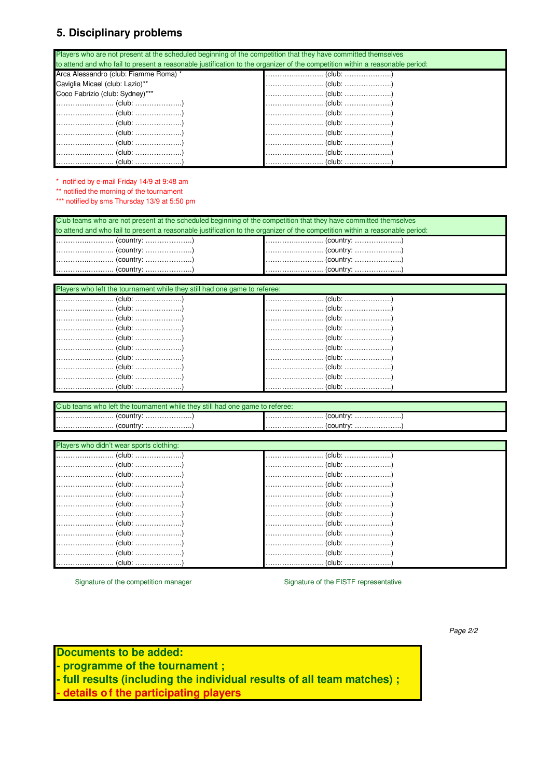### **5. Disciplinary problems**

Players who are not present at the scheduled beginning of the competition that they have committed themselves to attend and who fail to present a reasonable justification to the organizer of the competition within a reasonable period: Arca Alessandro (club: Fiamme Roma) \* …………..……….. (club: ………………..) Caviglia Micael (club: Lazio)\*\* …………..……….. (club: ………………..) Coco Fabrizio (club: Sydney)\*\*\* …………..……….. (club: ………………..) …………..……….. (club: ………………..) …………..……….. (club: ………………..) …………..……….. (club: ………………..) …………..……….. (club: ………………..) …………..……….. (club: ………………..) …………..……….. (club: ………………..) …………..……….. (club: ………………..) …………..……….. (club: ………………..) …………..……….. (club: ………………..) …………..……….. (club: ………………..) …………..……….. (club: ………………..) …………..……….. (club: ………………..) …………..……….. (club: ………………..) …………..……….. (club: ………………..)

\* notified by e-mail Friday 14/9 at 9:48 am

\*\* notified the morning of the tournament

\*\*\* notified by sms Thursday 13/9 at 5:50 pm

| Club teams who are not present at the scheduled beginning of the competition that they have committed themselves             |                                                                                                                  |  |  |  |  |  |
|------------------------------------------------------------------------------------------------------------------------------|------------------------------------------------------------------------------------------------------------------|--|--|--|--|--|
| to attend and who fail to present a reasonable justification to the organizer of the competition within a reasonable period: |                                                                                                                  |  |  |  |  |  |
|                                                                                                                              |                                                                                                                  |  |  |  |  |  |
|                                                                                                                              |                                                                                                                  |  |  |  |  |  |
|                                                                                                                              | $\left[\ldots,\ldots,\ldots,\ldots,\ldots,\ldots\right]$ (country: $\ldots,\ldots,\ldots,\ldots,\ldots\right)$ ) |  |  |  |  |  |
| $\left[\ldots,\ldots,\ldots,\ldots,\ldots,\ldots\right]$ (country: $\ldots,\ldots,\ldots,\ldots,\ldots\}$ )                  |                                                                                                                  |  |  |  |  |  |
|                                                                                                                              |                                                                                                                  |  |  |  |  |  |

| Players who left the tournament while they still had one game to referee:                          |                                                                                                                         |  |  |  |  |
|----------------------------------------------------------------------------------------------------|-------------------------------------------------------------------------------------------------------------------------|--|--|--|--|
|                                                                                                    |                                                                                                                         |  |  |  |  |
| $\left[\ldots,\ldots,\ldots,\ldots,\ldots,\ldots,(club:\ldots,\ldots,\ldots,\ldots,\ldots)\right]$ | (club: )                                                                                                                |  |  |  |  |
|                                                                                                    |                                                                                                                         |  |  |  |  |
|                                                                                                    |                                                                                                                         |  |  |  |  |
|                                                                                                    |                                                                                                                         |  |  |  |  |
|                                                                                                    |                                                                                                                         |  |  |  |  |
|                                                                                                    |                                                                                                                         |  |  |  |  |
|                                                                                                    |                                                                                                                         |  |  |  |  |
|                                                                                                    | (club: )                                                                                                                |  |  |  |  |
|                                                                                                    | $\left[\ldots,\ldots,\ldots,\ldots,\ldots,\ldots,(club:\ldots,\ldots,\ldots,\ldots,\ldots,\ldots,\ldots,\ldots)\right]$ |  |  |  |  |

| Club teams who left the tournament while they still had one game to referee: |                                                                                                             |  |  |  |  |
|------------------------------------------------------------------------------|-------------------------------------------------------------------------------------------------------------|--|--|--|--|
|                                                                              | $\left[\ldots,\ldots,\ldots,\ldots,\ldots,\ldots\right]$ (country: $\ldots,\ldots,\ldots,\ldots,\ldots\}$ ) |  |  |  |  |
| country.                                                                     | (country:<br>                                                                                               |  |  |  |  |

| Players who didn't wear sports clothing:                                                    |          |  |  |  |  |
|---------------------------------------------------------------------------------------------|----------|--|--|--|--|
|                                                                                             |          |  |  |  |  |
|                                                                                             |          |  |  |  |  |
|                                                                                             |          |  |  |  |  |
|                                                                                             |          |  |  |  |  |
|                                                                                             |          |  |  |  |  |
|                                                                                             |          |  |  |  |  |
|                                                                                             |          |  |  |  |  |
|                                                                                             |          |  |  |  |  |
|                                                                                             |          |  |  |  |  |
| $\left[\ldots,\ldots,\ldots,\ldots,\ldots,\ldots,\ldots,\ldots,\ldots,\ldots,\ldots\right]$ |          |  |  |  |  |
|                                                                                             |          |  |  |  |  |
|                                                                                             | (club: ) |  |  |  |  |

Signature of the competition manager Signature of the FISTF representative

Page 2/2

### **Documents to be added:**

- **programme of the tournament ;**
- **full results (including the individual results of all team matches) ;**
- **details of the participating players**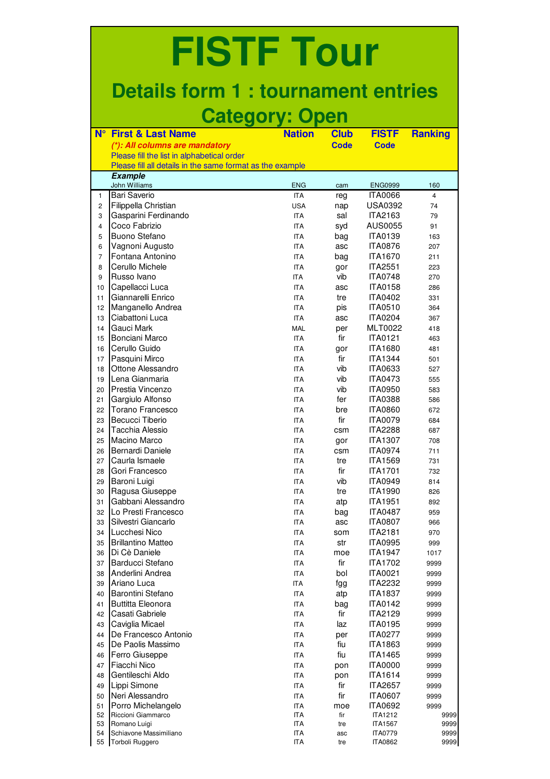### **Details form 1 : tournament entries Category: Open**

| $N^{\circ}$    | <b>First &amp; Last Name</b>                              | <b>Nation</b> |             | <b>FISTF</b>   |                |
|----------------|-----------------------------------------------------------|---------------|-------------|----------------|----------------|
|                |                                                           |               | <b>Club</b> |                | <b>Ranking</b> |
|                | (*): All columns are mandatory                            |               | <b>Code</b> | <b>Code</b>    |                |
|                | Please fill the list in alphabetical order                |               |             |                |                |
|                | Please fill all details in the same format as the example |               |             |                |                |
|                | <b>Example</b><br><b>John Williams</b>                    | <b>ENG</b>    | cam         | <b>ENG0999</b> | 160            |
| $\mathbf{1}$   | <b>Bari Saverio</b>                                       | <b>ITA</b>    | reg         | <b>ITA0066</b> | $\overline{4}$ |
| $\overline{c}$ | Filippella Christian                                      | <b>USA</b>    | nap         | <b>USA0392</b> | 74             |
| 3              | Gasparini Ferdinando                                      | <b>ITA</b>    | sal         | ITA2163        | 79             |
| 4              | Coco Fabrizio                                             | <b>ITA</b>    | syd         | AUS0055        | 91             |
| 5              | Buono Stefano                                             | <b>ITA</b>    | bag         | <b>ITA0139</b> | 163            |
| 6              | Vagnoni Augusto                                           | <b>ITA</b>    | asc         | <b>ITA0876</b> | 207            |
| $\overline{7}$ | Fontana Antonino                                          | <b>ITA</b>    | bag         | <b>ITA1670</b> | 211            |
| 8              | Cerullo Michele                                           | <b>ITA</b>    | gor         | <b>ITA2551</b> | 223            |
| 9              | Russo Ivano                                               | <b>ITA</b>    | vib         | <b>ITA0748</b> | 270            |
| 10             | Capellacci Luca                                           | <b>ITA</b>    | asc         | <b>ITA0158</b> | 286            |
| 11             | Giannarelli Enrico                                        | <b>ITA</b>    | tre         | <b>ITA0402</b> | 331            |
| 12             | Manganello Andrea                                         | <b>ITA</b>    | pis         | <b>ITA0510</b> | 364            |
| 13             | Ciabattoni Luca                                           | <b>ITA</b>    | asc         | <b>ITA0204</b> | 367            |
| 14             | Gauci Mark                                                | <b>MAL</b>    | per         | <b>MLT0022</b> | 418            |
| 15             | Bonciani Marco                                            | <b>ITA</b>    | fir         | <b>ITA0121</b> | 463            |
| 16             | Cerullo Guido                                             | <b>ITA</b>    | gor         | <b>ITA1680</b> | 481            |
| 17             | Pasquini Mirco                                            | <b>ITA</b>    | fir         | <b>ITA1344</b> | 501            |
| 18             | Ottone Alessandro                                         | <b>ITA</b>    | vib         | <b>ITA0633</b> | 527            |
| 19             | Lena Gianmaria                                            | <b>ITA</b>    | vib         | <b>ITA0473</b> | 555            |
| 20             | Prestia Vincenzo                                          | <b>ITA</b>    | vib         | <b>ITA0950</b> | 583            |
| 21             | Gargiulo Alfonso                                          | <b>ITA</b>    | fer         | <b>ITA0388</b> | 586            |
| 22             | Torano Francesco                                          | <b>ITA</b>    | bre         | <b>ITA0860</b> | 672            |
| 23             | Becucci Tiberio                                           | <b>ITA</b>    | fir         | <b>ITA0079</b> |                |
| 24             | Tacchia Alessio                                           | <b>ITA</b>    |             | <b>ITA2288</b> | 684<br>687     |
| 25             | Macino Marco                                              |               | csm         | <b>ITA1307</b> |                |
|                | Bernardi Daniele                                          | <b>ITA</b>    | gor         |                | 708            |
| 26             |                                                           | <b>ITA</b>    | csm         | <b>ITA0974</b> | 711            |
| 27             | Caurla Ismaele                                            | <b>ITA</b>    | tre         | <b>ITA1569</b> | 731            |
| 28             | Gori Francesco                                            | <b>ITA</b>    | fir         | <b>ITA1701</b> | 732            |
| 29             | Baroni Luigi                                              | <b>ITA</b>    | vib         | <b>ITA0949</b> | 814            |
| 30             | Ragusa Giuseppe                                           | <b>ITA</b>    | tre         | <b>ITA1990</b> | 826            |
| 31             | Gabbani Alessandro                                        | ITA           | atp         | <b>ITA1951</b> | 892            |
| 32             | Lo Presti Francesco                                       | ITA           | bag         | <b>ITA0487</b> | 959            |
| 33             | Silvestri Giancarlo                                       | ITA           | asc         | <b>ITA0807</b> | 966            |
| 34             | Lucchesi Nico                                             | ITA           | som         | <b>ITA2181</b> | 970            |
| 35             | <b>Brillantino Matteo</b>                                 | ITA           | str         | <b>ITA0995</b> | 999            |
| 36             | Di Cè Daniele                                             | <b>ITA</b>    | moe         | <b>ITA1947</b> | 1017           |
| 37             | Barducci Stefano                                          | <b>ITA</b>    | fir         | <b>ITA1702</b> | 9999           |
| 38             | Anderlini Andrea                                          | ITA           | bol         | <b>ITA0021</b> | 9999           |
| 39             | Ariano Luca                                               | ITA           | fgg         | <b>ITA2232</b> | 9999           |
| 40             | Barontini Stefano                                         | ITA           | atp         | <b>ITA1837</b> | 9999           |
| 41             | <b>Buttitta Eleonora</b>                                  | ITA           | bag         | <b>ITA0142</b> | 9999           |
| 42             | Casati Gabriele                                           | ITA           | fir         | <b>ITA2129</b> | 9999           |
| 43             | Caviglia Micael                                           | <b>ITA</b>    | laz         | <b>ITA0195</b> | 9999           |
| 44             | De Francesco Antonio                                      | ITA           | per         | <b>ITA0277</b> | 9999           |
| 45             | De Paolis Massimo                                         | <b>ITA</b>    | fiu         | <b>ITA1863</b> | 9999           |
| 46             | Ferro Giuseppe                                            | <b>ITA</b>    | fiu         | <b>ITA1465</b> | 9999           |
| 47             | Fiacchi Nico                                              | ITA           | pon         | <b>ITA0000</b> | 9999           |
| 48             | Gentileschi Aldo                                          | ITA           | pon         | <b>ITA1614</b> | 9999           |
| 49             | Lippi Simone                                              | <b>ITA</b>    | fir         | <b>ITA2657</b> | 9999           |
| 50             | Neri Alessandro                                           | ITA           | fir         | <b>ITA0607</b> | 9999           |
| 51             | Porro Michelangelo                                        | ITA           | moe         | <b>ITA0692</b> | 9999           |
| 52             | Riccioni Giammarco                                        | ITA           | fir         | <b>ITA1212</b> | 9999           |
| 53             | Romano Luigi                                              | ITA           | tre         | <b>ITA1567</b> | 9999           |
| 54             | Schiavone Massimiliano                                    | ITA           | asc         | <b>ITA0779</b> | 9999           |
| 55             | Torboli Ruggero                                           | ITA           | tre         | <b>ITA0862</b> | 9999           |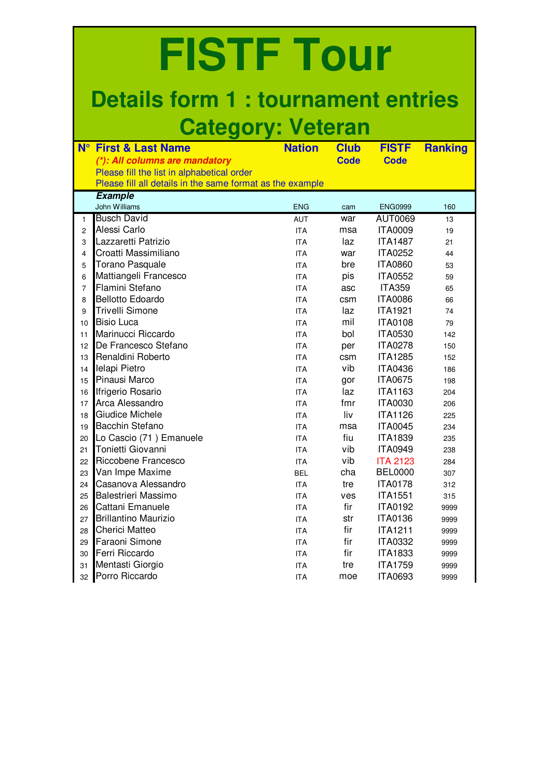## **Details form 1 : tournament entries Category: Veteran**

| $N^{\circ}$    | <b>First &amp; Last Name</b>                              | <b>Nation</b> | <b>Club</b> | <b>FISTF</b>    | <b>Ranking</b> |
|----------------|-----------------------------------------------------------|---------------|-------------|-----------------|----------------|
|                | (*): All columns are mandatory                            |               | <b>Code</b> | <b>Code</b>     |                |
|                | Please fill the list in alphabetical order                |               |             |                 |                |
|                | Please fill all details in the same format as the example |               |             |                 |                |
|                | <b>Example</b>                                            |               |             |                 |                |
|                | John Williams                                             | <b>ENG</b>    | cam         | <b>ENG0999</b>  | 160            |
| 1              | <b>Busch David</b>                                        | <b>AUT</b>    | war         | AUT0069         | 13             |
| $\overline{c}$ | Alessi Carlo                                              | <b>ITA</b>    | msa         | <b>ITA0009</b>  | 19             |
| 3              | Lazzaretti Patrizio                                       | <b>ITA</b>    | laz         | <b>ITA1487</b>  | 21             |
| $\overline{4}$ | Croatti Massimiliano                                      | <b>ITA</b>    | war         | <b>ITA0252</b>  | 44             |
| 5              | <b>Torano Pasquale</b>                                    | <b>ITA</b>    | bre         | <b>ITA0860</b>  | 53             |
| 6              | Mattiangeli Francesco                                     | <b>ITA</b>    | pis         | <b>ITA0552</b>  | 59             |
| $\overline{7}$ | Flamini Stefano                                           | <b>ITA</b>    | asc         | <b>ITA359</b>   | 65             |
| 8              | <b>Bellotto Edoardo</b>                                   | <b>ITA</b>    | csm         | <b>ITA0086</b>  | 66             |
| 9              | <b>Trivelli Simone</b>                                    | <b>ITA</b>    | laz         | <b>ITA1921</b>  | 74             |
| 10             | <b>Bisio Luca</b>                                         | <b>ITA</b>    | mil         | <b>ITA0108</b>  | 79             |
| 11             | Marinucci Riccardo                                        | <b>ITA</b>    | bol         | <b>ITA0530</b>  | 142            |
| 12             | De Francesco Stefano                                      | <b>ITA</b>    | per         | <b>ITA0278</b>  | 150            |
| 13             | Renaldini Roberto                                         | <b>ITA</b>    | csm         | <b>ITA1285</b>  | 152            |
| 14             | Ielapi Pietro                                             | <b>ITA</b>    | vib         | <b>ITA0436</b>  | 186            |
| 15             | Pinausi Marco                                             | <b>ITA</b>    | gor         | <b>ITA0675</b>  | 198            |
| 16             | Ifrigerio Rosario                                         | <b>ITA</b>    | laz         | <b>ITA1163</b>  | 204            |
| 17             | Arca Alessandro                                           | <b>ITA</b>    | fmr         | <b>ITA0030</b>  | 206            |
| 18             | <b>Giudice Michele</b>                                    | <b>ITA</b>    | liv         | <b>ITA1126</b>  | 225            |
| 19             | Bacchin Stefano                                           | <b>ITA</b>    | msa         | <b>ITA0045</b>  | 234            |
| 20             | Lo Cascio (71) Emanuele                                   | <b>ITA</b>    | fiu         | <b>ITA1839</b>  | 235            |
| 21             | Tonietti Giovanni                                         | <b>ITA</b>    | vib         | <b>ITA0949</b>  | 238            |
| 22             | Riccobene Francesco                                       | <b>ITA</b>    | vib         | <b>ITA 2123</b> | 284            |
| 23             | Van Impe Maxime                                           | <b>BEL</b>    | cha         | <b>BEL0000</b>  | 307            |
| 24             | Casanova Alessandro                                       | <b>ITA</b>    | tre         | <b>ITA0178</b>  | 312            |
| 25             | Balestrieri Massimo                                       | <b>ITA</b>    | ves         | <b>ITA1551</b>  | 315            |
| 26             | Cattani Emanuele                                          | <b>ITA</b>    | fir         | <b>ITA0192</b>  | 9999           |
| 27             | <b>Brillantino Maurizio</b>                               | <b>ITA</b>    | str         | <b>ITA0136</b>  | 9999           |
| 28             | <b>Cherici Matteo</b>                                     | <b>ITA</b>    | fir         | <b>ITA1211</b>  | 9999           |
| 29             | Faraoni Simone                                            | <b>ITA</b>    | fir         | <b>ITA0332</b>  | 9999           |
| 30             | Ferri Riccardo                                            | <b>ITA</b>    | fir         | <b>ITA1833</b>  | 9999           |
| 31             | Mentasti Giorgio                                          | <b>ITA</b>    | tre         | <b>ITA1759</b>  | 9999           |
| 32             | Porro Riccardo                                            | <b>ITA</b>    | moe         | <b>ITA0693</b>  | 9999           |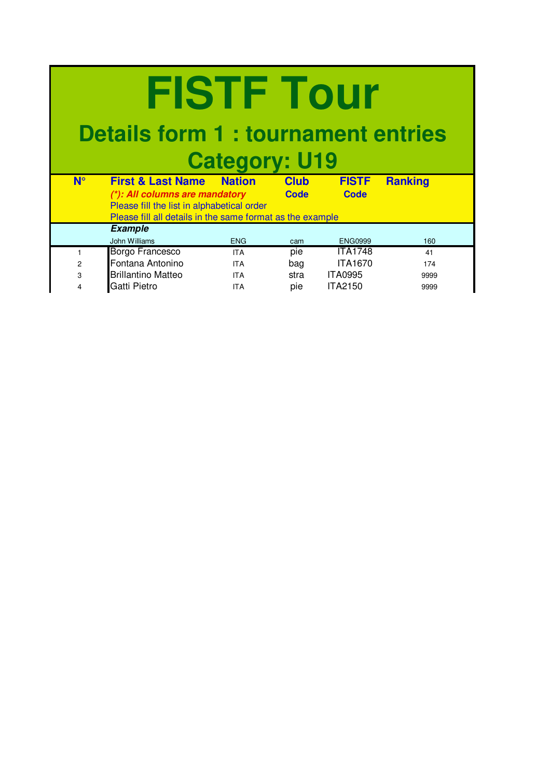### **Details form 1 : tournament entries Category: U19**

| $N^{\circ}$ | <b>First &amp; Last Name</b><br>(*): All columns are mandatory<br>Please fill the list in alphabetical order | <b>Nation</b> | <b>Club</b><br><b>Code</b> | <b>FISTF</b><br><b>Code</b> | <b>Ranking</b> |
|-------------|--------------------------------------------------------------------------------------------------------------|---------------|----------------------------|-----------------------------|----------------|
|             | Please fill all details in the same format as the example                                                    |               |                            |                             |                |
|             | <b>Example</b>                                                                                               |               |                            |                             |                |
|             | John Williams                                                                                                | <b>ENG</b>    | cam                        | <b>ENG0999</b>              | 160            |
|             | <b>Borgo Francesco</b>                                                                                       | <b>ITA</b>    | pie                        | <b>ITA1748</b>              | 41             |
| 2           | Fontana Antonino                                                                                             | <b>ITA</b>    | bag                        | <b>ITA1670</b>              | 174            |
| 3           | <b>Brillantino Matteo</b>                                                                                    | <b>ITA</b>    | stra                       | <b>ITA0995</b>              | 9999           |
| 4           | <b>Gatti Pietro</b>                                                                                          | <b>ITA</b>    | pie                        | <b>ITA2150</b>              | 9999           |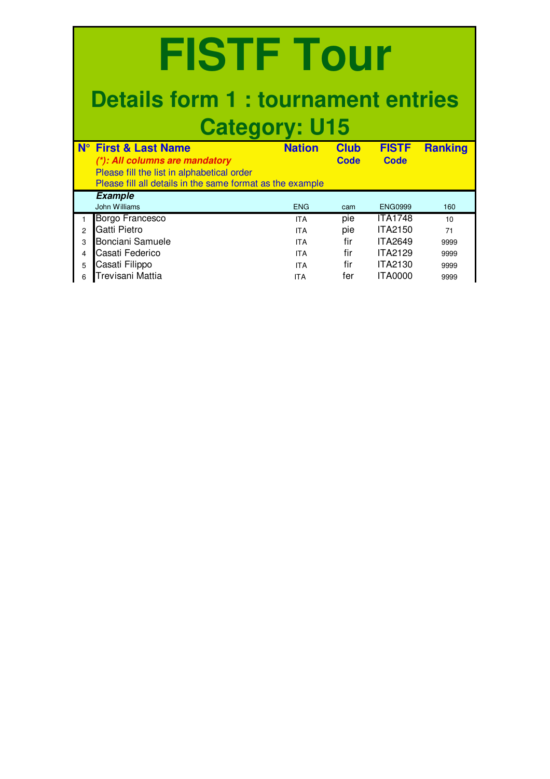|                                                    | FISTE TOUR<br><b>Details form 1: tournament entries</b>                                                                                   |                                                                                  |                                        |                                                                                                          |                                          |  |  |
|----------------------------------------------------|-------------------------------------------------------------------------------------------------------------------------------------------|----------------------------------------------------------------------------------|----------------------------------------|----------------------------------------------------------------------------------------------------------|------------------------------------------|--|--|
| $N^{\circ}$                                        | <b>Category: U15</b><br><b>First &amp; Last Name</b>                                                                                      | <b>Nation</b>                                                                    | <b>Club</b>                            | <b>FISTF</b>                                                                                             | <b>Ranking</b>                           |  |  |
|                                                    | (*): All columns are mandatory<br>Please fill the list in alphabetical order<br>Please fill all details in the same format as the example |                                                                                  | <b>Code</b>                            | <b>Code</b>                                                                                              |                                          |  |  |
|                                                    | <b>Example</b><br>John Williams                                                                                                           | <b>FNG</b>                                                                       | cam                                    | <b>ENG0999</b>                                                                                           | 160                                      |  |  |
| $\mathbf{1}$<br>$\overline{2}$<br>3<br>4<br>5<br>6 | Borgo Francesco<br>Gatti Pietro<br>Bonciani Samuele<br>Casati Federico<br>Casati Filippo<br>Trevisani Mattia                              | <b>ITA</b><br><b>ITA</b><br><b>ITA</b><br><b>ITA</b><br><b>ITA</b><br><b>ITA</b> | pie<br>pie<br>fir<br>fir<br>fir<br>fer | <b>ITA1748</b><br><b>ITA2150</b><br><b>ITA2649</b><br><b>ITA2129</b><br><b>ITA2130</b><br><b>ITA0000</b> | 10<br>71<br>9999<br>9999<br>9999<br>9999 |  |  |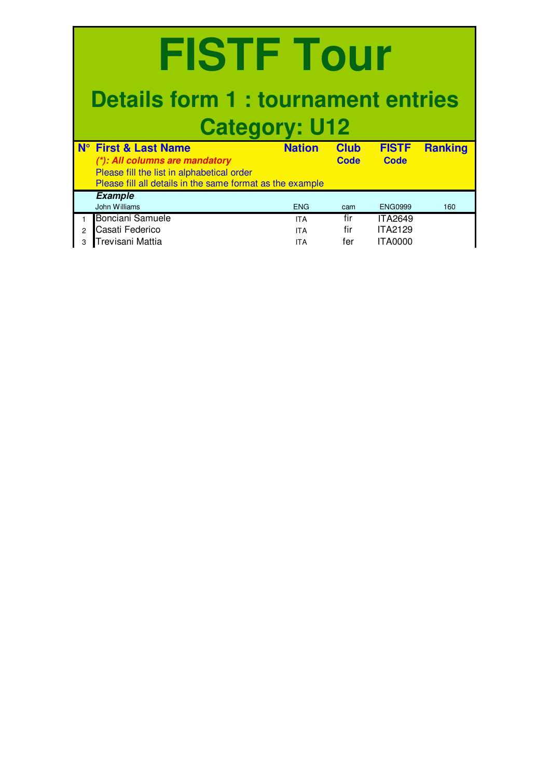|               | <b>FISTE Tour</b><br><b>Details form 1: tournament entries</b><br><b>Category: U12</b>                                                                                       |                                        |                     |                                                    |                |  |  |  |  |  |  |  |  |
|---------------|------------------------------------------------------------------------------------------------------------------------------------------------------------------------------|----------------------------------------|---------------------|----------------------------------------------------|----------------|--|--|--|--|--|--|--|--|
|               | <b>N° First &amp; Last Name</b><br>(*): All columns are mandatory<br>Please fill the list in alphabetical order<br>Please fill all details in the same format as the example | <b>Nation</b>                          | <b>Club</b><br>Code | <b>FISTF</b><br>Code                               | <b>Ranking</b> |  |  |  |  |  |  |  |  |
|               | <b>Example</b><br>John Williams                                                                                                                                              | <b>ENG</b>                             | cam                 | <b>ENG0999</b>                                     | 160            |  |  |  |  |  |  |  |  |
| $\mathcal{P}$ | Bonciani Samuele<br>Casati Federico<br>Trevisani Mattia                                                                                                                      | <b>ITA</b><br><b>ITA</b><br><b>ITA</b> | fir<br>fir<br>fer   | <b>ITA2649</b><br><b>ITA2129</b><br><b>ITA0000</b> |                |  |  |  |  |  |  |  |  |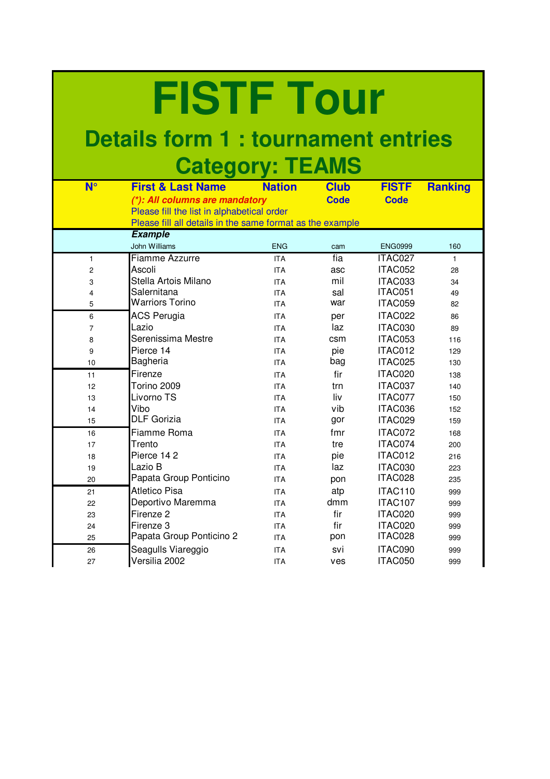### **Details form 1 : tournament entries Category: TEAMS**

| $N^{\circ}$ | <b>First &amp; Last Name</b>                              | <b>Nation</b> | <b>Club</b> | <b>FISTF</b>   | <b>Ranking</b> |
|-------------|-----------------------------------------------------------|---------------|-------------|----------------|----------------|
|             | (*): All columns are mandatory                            |               | <b>Code</b> | <b>Code</b>    |                |
|             | Please fill the list in alphabetical order                |               |             |                |                |
|             | Please fill all details in the same format as the example |               |             |                |                |
|             | <b>Example</b>                                            |               |             |                |                |
|             | John Williams                                             | <b>ENG</b>    | cam         | <b>ENG0999</b> | 160            |
| 1           | <b>Fiamme Azzurre</b>                                     | <b>ITA</b>    | fia         | ITAC027        | 1              |
| 2           | Ascoli                                                    | <b>ITA</b>    | asc         | ITAC052        | 28             |
| 3           | Stella Artois Milano                                      | <b>ITA</b>    | mil         | ITAC033        | 34             |
| 4           | Salernitana                                               | <b>ITA</b>    | sal         | ITAC051        | 49             |
| 5           | <b>Warriors Torino</b>                                    | <b>ITA</b>    | war         | ITAC059        | 82             |
| 6           | <b>ACS Perugia</b>                                        | <b>ITA</b>    | per         | ITAC022        | 86             |
| 7           | Lazio                                                     | <b>ITA</b>    | laz         | ITAC030        | 89             |
| 8           | Serenissima Mestre                                        | <b>ITA</b>    | csm         | ITAC053        | 116            |
| 9           | Pierce 14                                                 | <b>ITA</b>    | pie         | ITAC012        | 129            |
| 10          | Bagheria                                                  | <b>ITA</b>    | bag         | ITAC025        | 130            |
| 11          | Firenze                                                   | <b>ITA</b>    | fir         | ITAC020        | 138            |
| 12          | Torino 2009                                               | <b>ITA</b>    | trn         | ITAC037        | 140            |
| 13          | Livorno TS                                                | <b>ITA</b>    | liv         | ITAC077        | 150            |
| 14          | Vibo                                                      | <b>ITA</b>    | vib         | ITAC036        | 152            |
| 15          | <b>DLF Gorizia</b>                                        | <b>ITA</b>    | gor         | ITAC029        | 159            |
| 16          | Fiamme Roma                                               | <b>ITA</b>    | fmr         | ITAC072        | 168            |
| 17          | Trento                                                    | <b>ITA</b>    | tre         | ITAC074        | 200            |
| 18          | Pierce 142                                                | <b>ITA</b>    | pie         | ITAC012        | 216            |
| 19          | Lazio B                                                   | <b>ITA</b>    | laz         | ITAC030        | 223            |
| 20          | Papata Group Ponticino                                    | <b>ITA</b>    | pon         | ITAC028        | 235            |
| 21          | <b>Atletico Pisa</b>                                      | <b>ITA</b>    | atp         | ITAC110        | 999            |
| 22          | Deportivo Maremma                                         | <b>ITA</b>    | dmm         | ITAC107        | 999            |
| 23          | Firenze <sub>2</sub>                                      | <b>ITA</b>    | fir         | ITAC020        | 999            |
| 24          | Firenze 3                                                 | <b>ITA</b>    | fir         | ITAC020        | 999            |
| 25          | Papata Group Ponticino 2                                  | <b>ITA</b>    | pon         | ITAC028        | 999            |
| 26          | Seagulls Viareggio                                        | <b>ITA</b>    | svi         | ITAC090        | 999            |
| 27          | Versilia 2002                                             | <b>ITA</b>    | ves         | ITAC050        | 999            |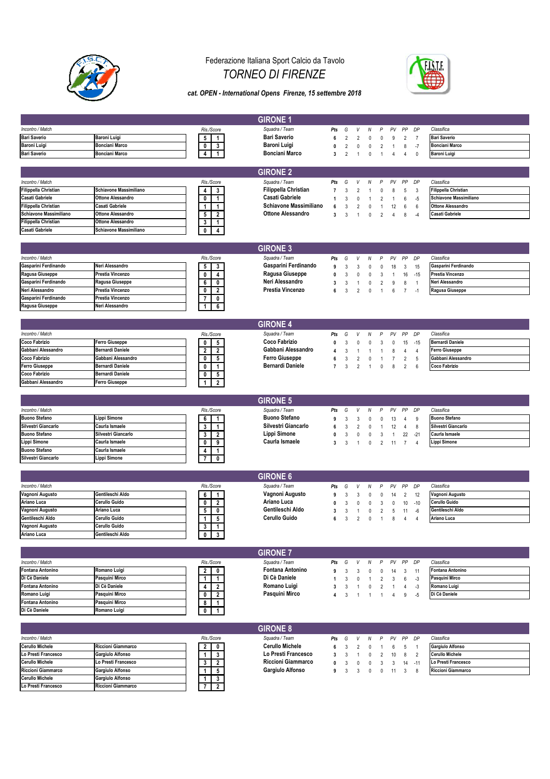

**Cerullo Michele Gargiulo Alfonso 1 3 0 0 1 Lo Presti Francesco Riccioni Giammarco 7 2 1 0 0**

### Federazione Italiana Sport Calcio da Tavolo *TORNEO DI FIRENZE*



#### *cat. OPEN - International Opens Firenze, 15 settembre 2018*

|                             |                         |                                                    | <b>GIRONE 1</b>             |                |                |                |              |                |                |                 |                |                             |
|-----------------------------|-------------------------|----------------------------------------------------|-----------------------------|----------------|----------------|----------------|--------------|----------------|----------------|-----------------|----------------|-----------------------------|
| Incontro / Match            |                         | Ris./Score                                         | Squadra / Team              | Pts            | G              | V              | Ν            | P              | PV             | PP              | DP             | Classifica                  |
| <b>Bari Saverio</b>         | Baroni Luigi            |                                                    | <b>Bari Saverio</b>         |                |                |                |              |                |                |                 |                | <b>Bari Saverio</b>         |
|                             |                         | 5<br>$\mathbf{1}$                                  |                             | 6              | $\overline{2}$ | $\overline{2}$ | $\mathbf 0$  | 0              | 9              | $\overline{2}$  | $\overline{7}$ |                             |
| Baroni Luigi                | <b>Bonciani Marco</b>   | 3<br>0                                             | Baroni Luigi                | 0              | $\overline{2}$ | 0              | 0            | 2              | $\mathbf{1}$   | 8               | $-7$           | <b>Bonciani Marco</b>       |
| <b>Bari Saverio</b>         | <b>Bonciani Marco</b>   | 1<br>4                                             | <b>Bonciani Marco</b>       | 3              | $\overline{2}$ | 1              | $\mathbf 0$  | $\mathbf{1}$   | $\overline{4}$ | $\overline{4}$  | $\theta$       | <b>Baroni Luigi</b>         |
|                             |                         |                                                    |                             |                |                |                |              |                |                |                 |                |                             |
|                             |                         |                                                    |                             |                |                |                |              |                |                |                 |                |                             |
|                             |                         |                                                    | <b>GIRONE 2</b>             |                |                |                |              |                |                |                 |                |                             |
| Incontro / Match            |                         | Ris./Score                                         | Squadra / Team              | Pts            | G              | V              | N            | P              | PV             | PP              | DP             | Classifica                  |
| <b>Filippella Christian</b> | Schiavone Massimiliano  | 4<br>3                                             | <b>Filippella Christian</b> | $\overline{7}$ | 3              | 2              | -1           | 0              | 8              | $\sqrt{5}$      | 3              | <b>Filippella Christian</b> |
| Casati Gabriele             | Ottone Alessandro       | 0<br>1                                             | <b>Casati Gabriele</b>      |                | 3              | $\Omega$       |              | $\overline{2}$ | $\mathbf{1}$   | 6               | $-5$           | Schiavone Massimiliano      |
| Filippella Christian        | Casati Gabriele         | 1<br>$\mathbf{1}$                                  | Schiavone Massimiliano      | 6              | 3              | 2              | 0            | 1              | 12             | 6               | 6              | <b>Ottone Alessandro</b>    |
|                             |                         |                                                    | <b>Ottone Alessandro</b>    |                |                |                |              |                |                |                 |                |                             |
| Schiavone Massimiliano      | Ottone Alessandro       | $\overline{2}$<br>5                                |                             | 3              | 3              | 1              | $\mathbf 0$  | $\overline{2}$ | 4              | 8               | -4             | <b>Casati Gabriele</b>      |
| <b>Filippella Christian</b> | Ottone Alessandro       | 3<br>1                                             |                             |                |                |                |              |                |                |                 |                |                             |
| <b>Casati Gabriele</b>      | Schiavone Massimiliano  | 0<br>4                                             |                             |                |                |                |              |                |                |                 |                |                             |
|                             |                         |                                                    |                             |                |                |                |              |                |                |                 |                |                             |
|                             |                         |                                                    | <b>GIRONE 3</b>             |                |                |                |              |                |                |                 |                |                             |
|                             |                         |                                                    |                             |                |                |                |              |                |                |                 |                |                             |
| Incontro / Match            |                         | Ris./Score                                         | Squadra / Team              | Pts            | G              | V              | N            | P              | PV             | PP              | DP             | Classifica                  |
| Gasparini Ferdinando        | Neri Alessandro         | 5<br>$\mathbf{3}$                                  | Gasparini Ferdinando        | 9              | 3              | 3              | $\mathbf 0$  | $\Omega$       | 18             | $\mathbf{3}$    | 15             | Gasparini Ferdinando        |
| Ragusa Giuseppe             | Prestia Vincenzo        | 0<br>4                                             | Ragusa Giuseppe             | 0              | 3              | $\theta$       | 0            | 3              | $\mathbf{1}$   | 16              | $-15$          | Prestia Vincenzo            |
| Gasparini Ferdinando        | Ragusa Giuseppe         |                                                    | Neri Alessandro             |                |                |                |              |                |                |                 |                | Neri Alessandro             |
| Neri Alessandro             | Prestia Vincenzo        | 6<br>0                                             | Prestia Vincenzo            | 3              | 3              | 1              | 0            | 2              | 9              | 8               | $\overline{1}$ |                             |
|                             |                         | $\overline{\mathbf{2}}$<br>0                       |                             | ĥ              | 3              | $\overline{2}$ | $\mathbf{0}$ | $\mathbf{1}$   | 6              | $\overline{7}$  | $-1$           | Ragusa Giuseppe             |
| Gasparini Ferdinando        | Prestia Vincenzo        | 0                                                  |                             |                |                |                |              |                |                |                 |                |                             |
| Ragusa Giuseppe             | Neri Alessandro         | 6                                                  |                             |                |                |                |              |                |                |                 |                |                             |
|                             |                         |                                                    |                             |                |                |                |              |                |                |                 |                |                             |
|                             |                         |                                                    |                             |                |                |                |              |                |                |                 |                |                             |
|                             |                         |                                                    | <b>GIRONE 4</b>             |                |                |                |              |                |                |                 |                |                             |
| Incontro / Match            |                         | Ris./Score                                         | Squadra / Team              | Pts            | G              | V              | N            | P              | PV             | PP              | DP             | Classifica                  |
| <b>Coco Fabrizio</b>        | Ferro Giuseppe          | 5<br>0                                             | <b>Coco Fabrizio</b>        | 0              | 3              | $\theta$       | $\mathbf 0$  | 3              | $\mathbf 0$    | 15              | $-15$          | <b>Bernardi Daniele</b>     |
| Gabbani Alessandro          | <b>Bernardi Daniele</b> | $\overline{\mathbf{2}}$<br>$\overline{2}$          | Gabbani Alessandro          | 4              | 3              |                | $\mathbf{1}$ | 1              | 8              | $\overline{4}$  | $\overline{4}$ | <b>Ferro Giuseppe</b>       |
| Coco Fabrizio               | Gabbani Alessandro      | 5<br>0                                             | <b>Ferro Giuseppe</b>       | 6              | 3              | $\overline{2}$ |              | -1             | $\overline{7}$ | $\overline{2}$  | 5              | Gabbani Alessandro          |
|                             |                         |                                                    |                             |                |                |                | 0            |                |                |                 |                |                             |
| <b>Ferro Giuseppe</b>       | Bernardi Daniele        | 0<br>1                                             | <b>Bernardi Daniele</b>     | $\overline{7}$ | 3              | 2              | $\mathbf{1}$ | 0              | 8              | 2               | 6              | Coco Fabrizio               |
| Coco Fabrizio               | Bernardi Daniele        | 0<br>5                                             |                             |                |                |                |              |                |                |                 |                |                             |
| Gabbani Alessandro          | Ferro Giuseppe          | $\overline{2}$<br>1                                |                             |                |                |                |              |                |                |                 |                |                             |
|                             |                         |                                                    |                             |                |                |                |              |                |                |                 |                |                             |
|                             |                         |                                                    |                             |                |                |                |              |                |                |                 |                |                             |
|                             |                         |                                                    |                             |                |                |                |              |                |                |                 |                |                             |
|                             |                         |                                                    | <b>GIRONE 5</b>             |                |                |                |              |                |                |                 |                |                             |
| Incontro / Match            |                         | Ris./Score                                         | Squadra / Team              | Pts            | G              | V              | Ν            | P              | PV             | PP              | DP             | Classifica                  |
| <b>Buono Stefano</b>        | Lippi Simone            | 6<br>1                                             | <b>Buono Stefano</b>        |                | 3              | 3              | 0            | 0              | 13             | $\overline{4}$  | 9              | <b>Buono Stefano</b>        |
| Silvestri Giancarlo         | Caurla Ismaele          |                                                    | Silvestri Giancarlo         | 6              | 3              |                |              | -1             |                |                 |                | Silvestri Giancarlo         |
|                             |                         | 3<br>1                                             |                             |                |                | $\overline{2}$ | 0            |                | 12             | $\overline{4}$  | 8              |                             |
| <b>Buono Stefano</b>        | Silvestri Giancarlo     | 3<br>$\overline{\mathbf{2}}$                       | Lippi Simone                | 0              | 3              | 0              | $\pmb{0}$    | 3              | $\mathbf{1}$   | 22              | $-21$          | Caurla Ismaele              |
| Lippi Simone                | Caurla Ismaele          | 9<br>0                                             | Caurla Ismaele              | 3              | 3              | 1              | $\mathbf 0$  | 2              | 11             | $\overline{7}$  | $\overline{4}$ | Lippi Simone                |
| <b>Buono Stefano</b>        | Caurla Ismaele          | $\mathbf{1}$<br>4                                  |                             |                |                |                |              |                |                |                 |                |                             |
| Silvestri Giancarlo         | Lippi Simone            | 0                                                  |                             |                |                |                |              |                |                |                 |                |                             |
|                             |                         |                                                    |                             |                |                |                |              |                |                |                 |                |                             |
|                             |                         |                                                    |                             |                |                |                |              |                |                |                 |                |                             |
|                             |                         |                                                    | <b>GIRONE 6</b>             |                |                |                |              |                |                |                 |                |                             |
| Incontro / Match            |                         | Ris./Score                                         | Squadra / Team              | Pts            | G              | V              | Ν            | P              | PV             | PP              | DP             | Classifica                  |
| Vagnoni Augusto             | Gentileschi Aldo        | 6<br>1                                             | Vagnoni Augusto             | 9              | 3              | 3              | 0            | 0              | 14             | $\overline{2}$  | 12             | Vagnoni Augusto             |
| Ariano Luca                 | Cerullo Guido           | $\overline{2}$<br>0                                | Ariano Luca                 | 0              | 3              | $\Omega$       | 0            | 3              | 0              | 10              | $-10$          | <b>Cerullo Guido</b>        |
| Vagnoni Augusto             | Ariano Luca             |                                                    | Gentileschi Aldo            | 3              |                | $\mathbf{1}$   |              |                |                |                 |                | Gentileschi Aldo            |
|                             |                         | 5<br>0                                             |                             |                | 3              |                | 0            | 2              | 5              | 11              | -6             |                             |
| Gentileschi Aldo            | Cerullo Guido           | 5<br>1                                             | <b>Cerullo Guido</b>        | 6              | 3              | 2              | 0            | 1              | 8              | 4               | $\overline{4}$ | Ariano Luca                 |
| Vagnoni Augusto             | Cerullo Guido           | $3 \mid 1$                                         |                             |                |                |                |              |                |                |                 |                |                             |
| Ariano Luca                 | Gentileschi Aldo        | $\overline{\mathbf{0}}$<br>$\overline{\mathbf{3}}$ |                             |                |                |                |              |                |                |                 |                |                             |
|                             |                         |                                                    |                             |                |                |                |              |                |                |                 |                |                             |
|                             |                         |                                                    |                             |                |                |                |              |                |                |                 |                |                             |
|                             |                         |                                                    | <b>GIRONE 7</b>             |                |                |                |              |                |                |                 |                |                             |
| Incontro / Match            |                         | Ris./Score                                         | Squadra / Team              | Pts            | G              | V              | Ν            | P              | PV             | PP              | DP             | Classifica                  |
| <b>Fontana Antonino</b>     | Romano Luigi            | $\overline{2}$<br>0                                | <b>Fontana Antonino</b>     | 9              | 3              | 3              | 0            | 0              | 14             | 3               | 11             | <b>Fontana Antonino</b>     |
| Di Cè Daniele               | Pasquini Mirco          | 1<br>1                                             | Di Cè Daniele               | 1              | 3              | 0              | $\mathbf{1}$ | 2              | $\mathbf{3}$   | 6               | $-3$           | Pasquini Mirco              |
| Fontana Antonino            | Di Cè Daniele           | $\overline{2}$<br>4                                | Romano Luigi                | 3              | 3              | $\overline{1}$ | 0            | $\overline{2}$ | $\overline{1}$ | $\overline{4}$  | $-3$           | Romano Luigi                |
|                             |                         |                                                    |                             |                |                |                |              |                |                |                 |                |                             |
| Romano Luigi                | Pasquini Mirco          | $\overline{2}$<br>0                                | Pasquini Mirco              | 4              | 3              | $\mathbf{1}$   | $\mathbf{1}$ | $\mathbf{1}$   | 4              | 9               | $-5$           | Di Cè Daniele               |
| Fontana Antonino            | Pasquini Mirco          | 8<br>1                                             |                             |                |                |                |              |                |                |                 |                |                             |
| Di Cè Daniele               | Romano Luigi            | 0                                                  |                             |                |                |                |              |                |                |                 |                |                             |
|                             |                         |                                                    |                             |                |                |                |              |                |                |                 |                |                             |
|                             |                         |                                                    |                             |                |                |                |              |                |                |                 |                |                             |
|                             |                         |                                                    | <b>GIRONE 8</b>             |                |                |                |              |                |                |                 |                |                             |
| Incontro / Match            |                         | Ris./Score                                         | Squadra / Team              | Pts            | G              | V              | Ν            | P              | PV             | PP              | DP             | Classifica                  |
| <b>Cerullo Michele</b>      | Riccioni Giammarco      | 0<br>2                                             | <b>Cerullo Michele</b>      | 6              | 3              | 2              | 0            | -1             | 6              | $5\phantom{.0}$ | $\overline{1}$ | <b>Gargiulo Alfonso</b>     |
| Lo Presti Francesco         | Gargiulo Alfonso        | 3<br>1                                             | Lo Presti Francesco         | 3              | 3              | $\overline{1}$ | 0            | 2              | 10             | 8               | $\overline{2}$ | <b>Cerullo Michele</b>      |
| Cerullo Michele             | Lo Presti Francesco     | 3<br>2                                             | Riccioni Giammarco          | 0              | 3              | 0              | 0            | 3              | 3              | $14 - 11$       |                | Lo Presti Francesco         |
| Riccioni Giammarco          | Gargiulo Alfonso        | 5                                                  | Gargiulo Alfonso            | 9              | 3              | 3              | 0            | 0              | 11             | $\mathbf{3}$    | 8              | Riccioni Giammarco          |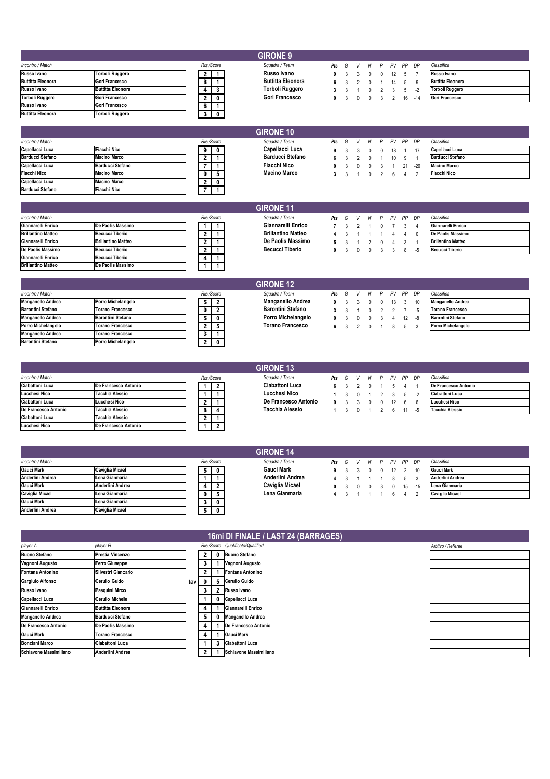| <b>GIRONE 9</b>          |                          |  |            |  |  |  |                          |     |   |     |  |   |       |           |                          |
|--------------------------|--------------------------|--|------------|--|--|--|--------------------------|-----|---|-----|--|---|-------|-----------|--------------------------|
| Incontro / Match         |                          |  | Ris./Score |  |  |  | Squadra / Team           | Pts | G | V N |  | P | PV PP | DP        | Classifica               |
| Russo Ivano              | <b>Torboli Ruggero</b>   |  |            |  |  |  | Russo Ivano              |     |   |     |  |   | 12    |           | Russo Ivano              |
| <b>Buttitta Eleonora</b> | Gori Francesco           |  |            |  |  |  | <b>Buttitta Eleonora</b> |     |   |     |  |   | 14    | -9        | <b>Buttitta Eleonora</b> |
| Russo Ivano              | <b>Buttitta Eleonora</b> |  |            |  |  |  | Torboli Ruggero          |     |   |     |  |   |       | -2        | <b>Torboli Ruggero</b>   |
| <b>Torboli Ruggero</b>   | Gori Francesco           |  |            |  |  |  | <b>Gori Francesco</b>    |     |   |     |  |   |       | $16 - 14$ | <b>Gori Francesco</b>    |
| Russo Ivano              | Gori Francesco           |  |            |  |  |  |                          |     |   |     |  |   |       |           |                          |
| <b>Buttitta Eleonora</b> | <b>Torboli Ruggero</b>   |  |            |  |  |  |                          |     |   |     |  |   |       |           |                          |

|                         |                         |            |   | <b>GIRONE 10</b> |                         |     |   |              |   |   |           |          |       |                         |
|-------------------------|-------------------------|------------|---|------------------|-------------------------|-----|---|--------------|---|---|-----------|----------|-------|-------------------------|
| Incontro / Match        |                         | Ris./Score |   |                  | Squadra / Team          | Pts | G | $\mathsf{V}$ | N | P | <b>PV</b> |          | PP DP | Classifica              |
| Capellacci Luca         | <b>Fiacchi Nico</b>     | 9          | 0 |                  | Capellacci Luca         |     |   |              |   |   | 18        |          | 17    | Capellacci Luca         |
| <b>Barducci Stefano</b> | <b>Macino Marco</b>     |            |   |                  | <b>Barducci Stefano</b> |     |   |              |   |   | $10 -$    | <b>Q</b> |       | <b>Barducci Stefano</b> |
| Capellacci Luca         | <b>Barducci Stefano</b> |            |   |                  | <b>Fiacchi Nico</b>     |     |   |              |   |   |           | 21       | $-20$ | <b>Macino Marco</b>     |
| <b>Fiacchi Nico</b>     | <b>Macino Marco</b>     |            |   |                  | <b>Macino Marco</b>     |     |   |              |   |   |           |          |       | <b>Fiacchi Nico</b>     |
| Capellacci Luca         | <b>Macino Marco</b>     | $\epsilon$ | 0 |                  |                         |     |   |              |   |   |           |          |       |                         |
| <b>Barducci Stefano</b> | <b>Fiacchi Nico</b>     |            |   |                  |                         |     |   |              |   |   |           |          |       |                         |

|                           |                           |  |            | <b>GIRONE 11</b>          |     |   |              |            |        |                |    |                           |
|---------------------------|---------------------------|--|------------|---------------------------|-----|---|--------------|------------|--------|----------------|----|---------------------------|
| Incontro / Match          |                           |  | Ris./Score | Squadra / Team            | Pts | G |              |            |        | V N P PV PP DP |    | Classifica                |
| Giannarelli Enrico        | De Paolis Massimo         |  |            | Giannarelli Enrico        |     |   |              |            | $\cap$ |                |    | Giannarelli Enrico        |
| <b>Brillantino Matteo</b> | <b>Becucci Tiberio</b>    |  |            | <b>Brillantino Matteo</b> |     |   |              |            |        |                |    | De Paolis Massimo         |
| Giannarelli Enrico        | <b>Brillantino Matteo</b> |  |            | De Paolis Massimo         |     |   |              |            |        |                |    | <b>Brillantino Matteo</b> |
| De Paolis Massimo         | <b>Becucci Tiberio</b>    |  |            | <b>Becucci Tiberio</b>    |     |   | $\mathsf{n}$ | $\sqrt{2}$ |        |                | -5 | <b>Becucci Tiberio</b>    |
| Giannarelli Enrico        | <b>Becucci Tiberio</b>    |  |            |                           |     |   |              |            |        |                |    |                           |
| <b>Brillantino Matteo</b> | De Paolis Massimo         |  |            |                           |     |   |              |            |        |                |    |                           |

|                          |                          |  |            | <b>GIRONE 12</b>         |     |                     |           |     |          |              |          |                          |
|--------------------------|--------------------------|--|------------|--------------------------|-----|---------------------|-----------|-----|----------|--------------|----------|--------------------------|
| Incontro / Match         |                          |  | Ris./Score | Sauadra / Team           | Pts | G                   | V         | N P |          | PV PP DP     |          | Classifica               |
| <b>Manganello Andrea</b> | Porro Michelangelo       |  | - 2        | Manganello Andrea        |     |                     |           |     |          | $13 \quad 3$ | 10       | <b>Manganello Andrea</b> |
| <b>Barontini Stefano</b> | <b>Torano Francesco</b>  |  |            | <b>Barontini Stefano</b> |     |                     |           |     |          |              |          | <b>Torano Francesco</b>  |
| <b>Manganello Andrea</b> | <b>Barontini Stefano</b> |  |            | Porro Michelangelo       |     | $0 \quad 3 \quad 0$ |           |     |          |              | $12 - 8$ | <b>Barontini Stefano</b> |
| Porro Michelangelo       | <b>Torano Francesco</b>  |  |            | Torano Francesco         |     |                     | 6 3 2 0 1 |     | $-8 - 5$ |              |          | Porro Michelangelo       |
| <b>Manganello Andrea</b> | <b>Torano Francesco</b>  |  |            |                          |     |                     |           |     |          |              |          |                          |
| <b>Barontini Stefano</b> | Porro Michelangelo       |  |            |                          |     |                     |           |     |          |              |          |                          |

|                      |                        |   |            | <b>GIRONE 13</b>       |     |   |   |   |   |       |    |     |                        |
|----------------------|------------------------|---|------------|------------------------|-----|---|---|---|---|-------|----|-----|------------------------|
| Incontro / Match     |                        |   | Ris./Score | Squadra / Team         | Pts | G | V | N | P | PV PP |    | DP  | Classifica             |
| Ciabattoni Luca      | De Francesco Antonio   |   |            | <b>Ciabattoni Luca</b> |     |   |   |   |   |       |    |     | De Francesco Antonio   |
| Lucchesi Nico        | <b>Tacchia Alessio</b> |   |            | Lucchesi Nico          |     |   |   |   |   |       |    |     | <b>Ciabattoni Luca</b> |
| Ciabattoni Luca      | Lucchesi Nico          |   |            | De Francesco Antonio   |     |   |   |   |   |       |    | - 6 | Lucchesi Nico          |
| De Francesco Antonio | Tacchia Alessio        | 8 |            | Tacchia Alessio        |     |   |   |   |   |       | 11 | -5  | <b>Tacchia Alessio</b> |
| Ciabattoni Luca      | Tacchia Alessio        |   |            |                        |     |   |   |   |   |       |    |     |                        |
| Lucchesi Nico        | De Francesco Antonio   |   |            |                        |     |   |   |   |   |       |    |     |                        |
|                      |                        |   |            |                        |     |   |   |   |   |       |    |     |                        |

|                        |                        |   |              | <b>GIRONE 14</b>  |     |   |  |                |              |     |                        |
|------------------------|------------------------|---|--------------|-------------------|-----|---|--|----------------|--------------|-----|------------------------|
| Incontro / Match       |                        |   | Ris./Score   | Squadra / Team    | Pts | G |  | V N P PV PP DP |              |     | Classifica             |
| <b>Gauci Mark</b>      | <b>Caviglia Micael</b> |   | 0            | <b>Gauci Mark</b> |     |   |  |                | $12 \quad 2$ |     | <b>Gauci Mark</b>      |
| Anderlini Andrea       | Lena Gianmaria         |   |              | Anderlini Andrea  |     |   |  |                |              |     | Anderlini Andrea       |
| <b>Gauci Mark</b>      | Anderlini Andrea       |   | 2            | Caviglia Micael   |     |   |  | $\mathsf{r}$   | 15           | -15 | Lena Gianmaria         |
| <b>Caviglia Micael</b> | Lena Gianmaria         | 0 | - 5          | Lena Gianmaria    |     |   |  |                |              |     | <b>Caviglia Micael</b> |
| <b>Gauci Mark</b>      | Lena Gianmaria         |   | 0            |                   |     |   |  |                |              |     |                        |
| Anderlini Andrea       | <b>Caviglia Micael</b> |   | $\mathbf{0}$ |                   |     |   |  |                |              |     |                        |

|                          |                          |     |              |   | 16mi DI FINALE / LAST 24 (BARRAGES) |                   |
|--------------------------|--------------------------|-----|--------------|---|-------------------------------------|-------------------|
| player A                 | player B                 |     |              |   | Ris./Score Qualificato/Qualified    | Arbitro / Referee |
| <b>Buono Stefano</b>     | Prestia Vincenzo         |     | $\mathbf{2}$ |   | <b>Buono Stefano</b>                |                   |
| Vagnoni Augusto          | <b>Ferro Giuseppe</b>    |     | 3            |   | Vagnoni Augusto                     |                   |
| <b>Fontana Antonino</b>  | Silvestri Giancarlo      |     | 2            |   | Fontana Antonino                    |                   |
| <b>Gargiulo Alfonso</b>  | Cerullo Guido            | tav | $\mathbf 0$  | 5 | Cerullo Guido                       |                   |
| Russo Ivano              | Pasquini Mirco           |     | 3            |   | Russo Ivano                         |                   |
| Capellacci Luca          | <b>Cerullo Michele</b>   |     |              |   | 0 Capellacci Luca                   |                   |
| Giannarelli Enrico       | <b>Buttitta Eleonora</b> |     | 4            |   | Giannarelli Enrico                  |                   |
| <b>Manganello Andrea</b> | <b>Barducci Stefano</b>  |     | 5            | 0 | <b>Manganello Andrea</b>            |                   |
| De Francesco Antonio     | De Paolis Massimo        |     | 4            |   | De Francesco Antonio                |                   |
| <b>Gauci Mark</b>        | <b>Torano Francesco</b>  |     |              |   | <b>Gauci Mark</b>                   |                   |
| <b>Bonciani Marco</b>    | <b>Ciabattoni Luca</b>   |     |              |   | Ciabattoni Luca                     |                   |
| Schiavone Massimiliano   | Anderlini Andrea         |     |              |   | <b>Schiavone Massimiliano</b>       |                   |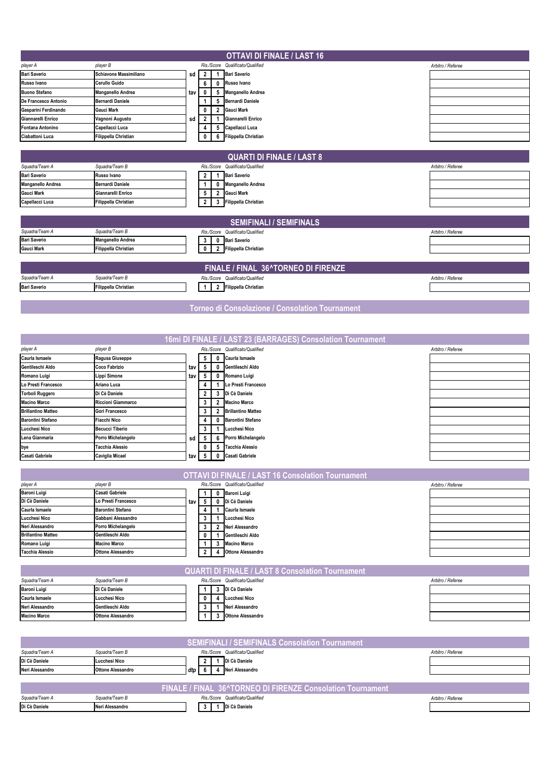|                                 |                                    |     |                         |                | <b>OTTAVI DI FINALE / LAST 16</b>                          |                   |
|---------------------------------|------------------------------------|-----|-------------------------|----------------|------------------------------------------------------------|-------------------|
| player A                        | player B                           |     |                         |                | Ris./Score Qualificato/Qualified                           | Arbitro / Referee |
| <b>Bari Saverio</b>             | Schiavone Massimiliano             | sd  | $\overline{2}$          |                | 1 Bari Saverio                                             |                   |
| Russo Ivano                     | Cerullo Guido                      |     | 6                       |                | 0 Russo Ivano                                              |                   |
| <b>Buono Stefano</b>            | Manganello Andrea                  | tav | 0                       |                | 5 Manganello Andrea                                        |                   |
| De Francesco Antonio            | <b>Bernardi Daniele</b>            |     | 1                       |                | 5 Bernardi Daniele                                         |                   |
| Gasparini Ferdinando            | Gauci Mark                         |     | 0                       |                | 2 Gauci Mark                                               |                   |
| Giannarelli Enrico              | Vagnoni Augusto                    | sd  | $\overline{\mathbf{2}}$ | $\mathbf{1}$   | Giannarelli Enrico                                         |                   |
| Fontana Antonino                | Capellacci Luca                    |     | 4                       |                | 5 Capellacci Luca                                          |                   |
| Ciabattoni Luca                 | Filippella Christian               |     | 0                       |                | 6 Filippella Christian                                     |                   |
|                                 |                                    |     |                         |                |                                                            |                   |
|                                 |                                    |     |                         |                | <b>QUARTI DI FINALE / LAST 8</b>                           |                   |
| Squadra/Team A                  | Squadra/Team B                     |     |                         | Ris./Score     | Qualificato/Qualified                                      | Arbitro / Referee |
| <b>Bari Saverio</b>             | Russo Ivano                        |     | 2                       | 1              | <b>Bari Saverio</b>                                        |                   |
| Manganello Andrea               | <b>Bernardi Daniele</b>            |     | 1                       | 0              | <b>Manganello Andrea</b>                                   |                   |
| <b>Gauci Mark</b>               | Giannarelli Enrico                 |     | 5                       |                | 2 Gauci Mark                                               |                   |
| Capellacci Luca                 | Filippella Christian               |     | $\mathbf{2}$            |                | 3 Filippella Christian                                     |                   |
|                                 |                                    |     |                         |                |                                                            |                   |
|                                 |                                    |     |                         |                | <b>SEMIFINALI / SEMIFINALS</b>                             |                   |
| Squadra/Team A                  | Squadra/Team B                     |     |                         |                | Ris./Score Qualificato/Qualified                           | Arbitro / Referee |
| <b>Bari Saverio</b>             | Manganello Andrea                  |     | 3                       | 0              | <b>Bari Saverio</b>                                        |                   |
| <b>Gauci Mark</b>               | Filippella Christian               |     | 0                       | $\overline{2}$ | <b>Filippella Christian</b>                                |                   |
|                                 |                                    |     |                         |                |                                                            |                   |
|                                 |                                    |     |                         |                | FINALE / FINAL 36^TORNEO DI FIRENZE                        |                   |
| Squadra/Team A                  | Squadra/Team B                     |     |                         |                | Ris./Score Qualificato/Qualified                           | Arbitro / Referee |
| <b>Bari Saverio</b>             | <b>Filippella Christian</b>        |     | 1                       |                | 2 Filippella Christian                                     |                   |
|                                 |                                    |     |                         |                |                                                            |                   |
|                                 |                                    |     |                         |                | Torneo di Consolazione / Consolation Tournament            |                   |
|                                 |                                    |     |                         |                |                                                            |                   |
|                                 |                                    |     |                         |                |                                                            |                   |
|                                 |                                    |     |                         |                |                                                            |                   |
|                                 |                                    |     |                         |                | 16mi DI FINALE / LAST 23 (BARRAGES) Consolation Tournament |                   |
| player A                        | player B                           |     |                         |                | Ris./Score Qualificato/Qualified                           | Arbitro / Referee |
| Caurla Ismaele                  | Ragusa Giuseppe                    |     | 5                       | 0              | Caurla Ismaele                                             |                   |
| Gentileschi Aldo                | Coco Fabrizio                      | tav | 5                       |                | 0 Gentileschi Aldo                                         |                   |
| Romano Luigi                    | Lippi Simone                       | tav | 5                       |                | 0 Romano Luigi                                             |                   |
| Lo Presti Francesco             | Ariano Luca                        |     | 4                       |                | 1 Lo Presti Francesco                                      |                   |
| <b>Torboli Ruggero</b>          | Di Cè Daniele                      |     | 2                       |                | 3 Di Cè Daniele                                            |                   |
| <b>Macino Marco</b>             | Riccioni Giammarco                 |     | 3                       |                | 2 Macino Marco                                             |                   |
| <b>Brillantino Matteo</b>       | Gori Francesco                     |     | 3                       |                | 2 Brillantino Matteo                                       |                   |
| <b>Barontini Stefano</b>        | Fiacchi Nico                       |     | 4                       | $\bf{0}$       | <b>Barontini Stefano</b>                                   |                   |
| <b>Lucchesi Nico</b>            | <b>Becucci Tiberio</b>             |     | 3                       |                | 1 Lucchesi Nico                                            |                   |
| Lena Gianmaria                  | Porro Michelangelo                 | sd  | 5                       |                | 6 Porro Michelangelo                                       |                   |
| bye<br><b>Casati Gabriele</b>   | Tacchia Alessio<br>Caviglia Micael |     | 0<br>5                  |                | 5 Tacchia Alessio<br>0 Casati Gabriele                     |                   |
|                                 |                                    | tav |                         |                |                                                            |                   |
|                                 |                                    |     |                         |                | <b>OTTAVI DI FINALE / LAST 16 Consolation Tournament</b>   |                   |
|                                 |                                    |     |                         |                |                                                            |                   |
| player A<br><b>Baroni Luigi</b> | player B<br>Casati Gabriele        |     | 1                       |                | Ris./Score Qualificato/Qualified<br>0 Baroni Luigi         | Arbitro / Referee |
| Di Cè Daniele                   | Lo Presti Francesco                | tav | 5                       |                | 0 Di Cè Daniele                                            |                   |
| Caurla Ismaele                  | <b>Barontini Stefano</b>           |     | 4                       |                | 1 Caurla Ismaele                                           |                   |
| Lucchesi Nico                   | Gabbani Alessandro                 |     | 3                       |                | 1 Lucchesi Nico                                            |                   |
| Neri Alessandro                 | Porro Michelangelo                 |     | 3                       |                | 2 Neri Alessandro                                          |                   |
| <b>Brillantino Matteo</b>       | Gentileschi Aldo                   |     | 0                       |                | 1 Gentileschi Aldo                                         |                   |
| Romano Luigi                    | <b>Macino Marco</b>                |     | 1.                      |                | 3 Macino Marco                                             |                   |
| <b>Tacchia Alessio</b>          | <b>Ottone Alessandro</b>           |     | 2                       |                | 4 Ottone Alessandro                                        |                   |
|                                 |                                    |     |                         |                |                                                            |                   |
|                                 |                                    |     |                         |                | <b>QUARTI DI FINALE / LAST 8 Consolation Tournament</b>    |                   |
| Squadra/Team A                  | Squadra/Team B                     |     |                         |                | Ris./Score Qualificato/Qualified                           | Arbitro / Referee |
| <b>Baroni Luigi</b>             | Di Cè Daniele                      |     | 1                       | 3              | Di Cè Daniele                                              |                   |
| Caurla Ismaele                  | Lucchesi Nico                      |     | 0                       |                | 4 Lucchesi Nico                                            |                   |
| Neri Alessandro                 | Gentileschi Aldo                   |     | 3                       |                | 1 Neri Alessandro                                          |                   |
| <b>Macino Marco</b>             | <b>Ottone Alessandro</b>           |     | 1                       |                | 3 Ottone Alessandro                                        |                   |
|                                 |                                    |     |                         |                |                                                            |                   |
|                                 |                                    |     |                         |                | <b>SEMIFINALI / SEMIFINALS Consolation Tournament</b>      |                   |
|                                 | Squadra/Team B                     |     |                         |                |                                                            |                   |
| Squadra/Team A<br>Di Cè Daniele | Lucchesi Nico                      |     | $\mathbf{2}$            | $\mathbf{1}$   | Ris./Score Qualificato/Qualified<br>Di Cè Daniele          | Arbitro / Referee |
| Neri Alessandro                 | <b>Ottone Alessandro</b>           | dtp | 6                       | 4              | Neri Alessandro                                            |                   |
|                                 |                                    |     |                         |                |                                                            |                   |
|                                 |                                    |     |                         |                | FINALE / FINAL 36^TORNEO DI FIRENZE Consolation Tournament |                   |
| Squadra/Team A                  | Squadra/Team B                     |     |                         |                | Ris./Score Qualificato/Qualified                           | Arbitro / Referee |
| Di Cè Daniele                   | Neri Alessandro                    |     | 3                       |                | 1 Di Cè Daniele                                            |                   |
|                                 |                                    |     |                         |                |                                                            |                   |
|                                 |                                    |     |                         |                |                                                            |                   |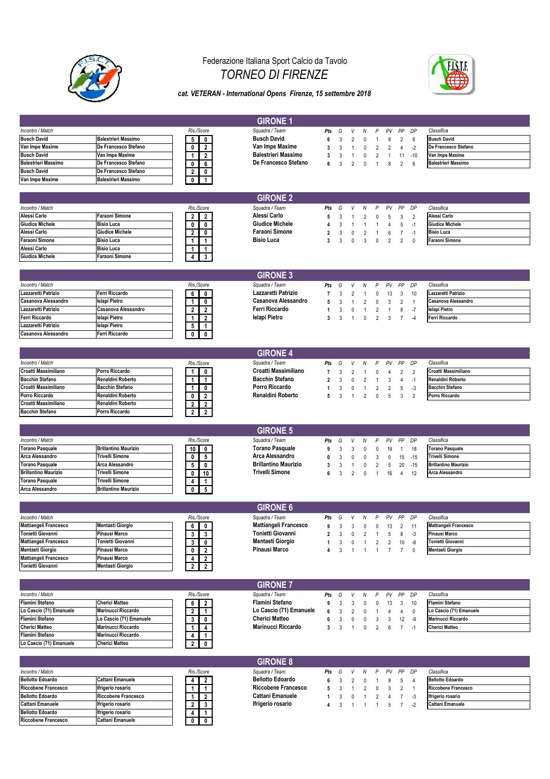

**Flamini Stefano**<br> **1988 Lo Cascio (71) Emanuele**<br> **1989 Cherici Matteo** 

**Lo Cascio (71) Emanuele** 

### Federazione Italiana Sport Calcio da Tavolo *TORNEO DI FIRENZE*



#### *cat. VETERAN - International Opens Firenze, 15 settembre 2018*

|                                                       |                                           |                                  | <b>GIRONE 1</b>                                       |                |        |                |                |                                |                |                |                |                              |
|-------------------------------------------------------|-------------------------------------------|----------------------------------|-------------------------------------------------------|----------------|--------|----------------|----------------|--------------------------------|----------------|----------------|----------------|------------------------------|
| Incontro / Match                                      |                                           | Ris./Score                       | Squadra / Team                                        | Pts            | G      | V              | N              | P                              | PV             | PP             | DP             | Classifica                   |
| <b>Busch David</b>                                    | <b>Balestrieri Massimo</b>                | 0<br>5                           | <b>Busch David</b>                                    | 6              | 3      | $\overline{2}$ | 0              | -1                             | 8              | $\overline{2}$ | 6              | <b>Busch David</b>           |
| Van Impe Maxime                                       | De Francesco Stefano                      | 0<br>2                           | Van Impe Maxime                                       | 3              | 3      | $\overline{1}$ | 0              | 2                              | 2              | 4              | $-2$           | De Francesco Stefano         |
| <b>Busch David</b>                                    | Van Impe Maxime                           | 2<br>-1                          | <b>Balestrieri Massimo</b>                            | 3              | 3      | $\overline{1}$ | 0              | 2                              | $\overline{1}$ | 11             | $-10$          | Van Impe Maxime              |
| <b>Balestrieri Massimo</b>                            | De Francesco Stefano                      | 6<br>0                           | De Francesco Stefano                                  | 6              | 3      | $\overline{2}$ | 0              | 1                              | 8              | $\overline{2}$ | 6              | <b>Balestrieri Massimo</b>   |
| <b>Busch David</b>                                    | De Francesco Stefano                      | $\overline{2}$<br>0              |                                                       |                |        |                |                |                                |                |                |                |                              |
| Van Impe Maxime                                       | <b>Balestrieri Massimo</b>                | 0<br>-1                          |                                                       |                |        |                |                |                                |                |                |                |                              |
|                                                       |                                           |                                  |                                                       |                |        |                |                |                                |                |                |                |                              |
|                                                       |                                           |                                  | <b>GIRONE 2</b>                                       |                |        |                |                |                                |                |                |                |                              |
| Incontro / Match                                      |                                           | Ris./Score                       | Squadra / Team                                        | Pts            | G      | V              | N              | P                              | PV             | PP             | DP             | Classifica                   |
| Alessi Carlo                                          | <b>Faraoni Simone</b>                     | 2<br>$\mathbf{2}$                | Alessi Carlo                                          | 5              | 3      | $\overline{1}$ | $\overline{2}$ | 0                              | 5              | 3              | $\overline{2}$ | Alessi Carlo                 |
| <b>Giudice Michele</b>                                | <b>Bisio Luca</b>                         | 0<br>0                           | <b>Giudice Michele</b>                                |                | 3      | $\overline{1}$ | $\overline{1}$ | 1                              | 4              | 5              | $-1$           | <b>Giudice Michele</b>       |
| Alessi Carlo                                          | <b>Giudice Michele</b>                    | 2<br>0                           | <b>Faraoni Simone</b>                                 | $\overline{2}$ | 3      | $\mathbf 0$    | $\overline{2}$ | 1                              | 6              | $\overline{7}$ | $-1$           | <b>Bisio Luca</b>            |
| <b>Faraoni Simone</b>                                 | <b>Bisio Luca</b>                         |                                  | <b>Bisio Luca</b>                                     | 3              | 3      | $\mathbf 0$    | 3              | 0                              | $\overline{2}$ | $\overline{2}$ | $\mathbf 0$    | Faraoni Simone               |
| Alessi Carlo                                          | <b>Bisio Luca</b>                         |                                  |                                                       |                |        |                |                |                                |                |                |                |                              |
| <b>Giudice Michele</b>                                | Faraoni Simone                            | 3                                |                                                       |                |        |                |                |                                |                |                |                |                              |
|                                                       |                                           |                                  |                                                       |                |        |                |                |                                |                |                |                |                              |
|                                                       |                                           |                                  | <b>GIRONE 3</b>                                       |                |        |                |                |                                |                |                |                |                              |
| Incontro / Match                                      |                                           | Ris./Score                       | Squadra / Team                                        | Pts            | G      | V              | N              | P                              | PV             | PP             | DP             | Classifica                   |
| Lazzaretti Patrizio                                   | Ferri Riccardo                            | 0<br>6                           | Lazzaretti Patrizio                                   |                | 3      | $\overline{2}$ | $\overline{1}$ | 0                              | 13             | 3              | 10             | Lazzaretti Patrizio          |
| Casanova Alessandro                                   | lelapi Pietro                             | 0<br>1                           | Casanova Alessandro                                   | 5              | 3      | $\overline{1}$ | 2              | 0                              | 3              | $\overline{c}$ | $\overline{1}$ | Casanova Alessandro          |
| Lazzaretti Patrizio                                   | Casanova Alessandro                       | $\overline{2}$<br>2              | Ferri Riccardo                                        | -1             | 3      | $\mathbf 0$    | $\overline{1}$ | 2                              | $\overline{1}$ | 8              | $-7$           | lelapi Pietro                |
| Ferri Riccardo                                        | lelapi Pietro                             | $\overline{2}$                   | lelapi Pietro                                         | 3              | 3      | $\overline{1}$ | $\mathbf{0}$   | $\overline{2}$                 | 3              | $\overline{7}$ | $-4$           | Ferri Riccardo               |
| Lazzaretti Patrizio                                   | lelapi Pietro                             | 5<br>1                           |                                                       |                |        |                |                |                                |                |                |                |                              |
| Casanova Alessandro                                   | Ferri Riccardo                            | 0<br>0                           |                                                       |                |        |                |                |                                |                |                |                |                              |
|                                                       |                                           |                                  |                                                       |                |        |                |                |                                |                |                |                |                              |
|                                                       |                                           |                                  | <b>GIRONE 4</b>                                       |                |        |                |                |                                |                |                |                |                              |
| Incontro / Match                                      |                                           | Ris./Score                       | Squadra / Team                                        | Pts            | G      | V              | N              | P                              | PV             | PP             | DP             | Classifica                   |
| Croatti Massimiliano                                  | Porro Riccardo                            | 0<br>1                           | Croatti Massimiliano                                  | $\overline{7}$ | 3      | $\overline{2}$ | $\overline{1}$ | 0                              | 4              | $\overline{2}$ | $\overline{2}$ | Croatti Massimiliano         |
| <b>Bacchin Stefano</b>                                | <b>Renaldini Roberto</b>                  | 1<br>-1                          | <b>Bacchin Stefano</b>                                | $\overline{2}$ | 3      | $\mathbf 0$    | $\overline{2}$ | -1                             | 3              | 4              | $-1$           | Renaldini Roberto            |
| Croatti Massimiliano                                  | <b>Bacchin Stefano</b>                    | 0<br>1                           | Porro Riccardo                                        | $\mathbf{1}$   | 3      | $\mathbf 0$    | $\overline{1}$ | $\overline{\mathbf{c}}$        | $\overline{2}$ | 5              | $-3$           | <b>Bacchin Stefano</b>       |
| Porro Riccardo                                        | Renaldini Roberto                         | 2<br>0                           | Renaldini Roberto                                     | 5              | 3      | $\overline{1}$ | $\overline{2}$ | 0                              | 5              | 3              | $\overline{2}$ | Porro Riccardo               |
| Croatti Massimiliano                                  | Renaldini Roberto                         | $\overline{2}$<br>2              |                                                       |                |        |                |                |                                |                |                |                |                              |
| <b>Bacchin Stefano</b>                                | Porro Riccardo                            | $\mathbf{2}$<br>$\overline{2}$   |                                                       |                |        |                |                |                                |                |                |                |                              |
|                                                       |                                           |                                  |                                                       |                |        |                |                |                                |                |                |                |                              |
|                                                       |                                           |                                  | <b>GIRONE 5</b>                                       |                |        |                |                |                                |                |                |                |                              |
| Incontro / Match                                      |                                           | Ris./Score                       | Squadra / Team                                        | Pts            | G      | V              | N              | P                              | PV             | PP             | DP             | Classifica                   |
| <b>Torano Pasquale</b>                                | <b>Brillantino Maurizio</b>               | 10<br>0                          | <b>Torano Pasquale</b>                                | 9              | 3      | 3              | 0              | 0                              | 19             | $\mathbf{1}$   | 18             | <b>Torano Pasquale</b>       |
| Arca Alessandro                                       | <b>Trivelli Simone</b>                    | 5<br>0                           | Arca Alessandro                                       | 0              | 3      | $\mathbf 0$    | 0              | 3                              | 0              | 15             | $-15$          | <b>Trivelli Simone</b>       |
| <b>Torano Pasquale</b><br><b>Brillantino Maurizio</b> | Arca Alessandro<br><b>Trivelli Simone</b> | 0<br>5                           | <b>Brillantino Maurizio</b><br><b>Trivelli Simone</b> | 3              | 3      | $\mathbf{1}$   | 0              | $\overline{2}$                 | 5              | 20             | $-15$          | <b>Brillantino Maurizio</b>  |
| <b>Torano Pasquale</b>                                | Trivelli Simone                           | 10<br>0                          |                                                       | 6              | 3      | $\overline{2}$ | $\mathbf{0}$   | $\overline{1}$                 | 16             | 4              | 12             | Arca Alessandro              |
| Arca Alessandro                                       | <b>Brillantino Maurizio</b>               | $\mathbf 1$<br>4                 |                                                       |                |        |                |                |                                |                |                |                |                              |
|                                                       |                                           | 5<br>0                           |                                                       |                |        |                |                |                                |                |                |                |                              |
|                                                       |                                           |                                  | <b>GIRONE 6</b>                                       |                |        |                |                |                                |                |                |                |                              |
| Incontro / Match                                      |                                           | Ris./Score                       | Squadra / Team                                        | Pts            | G      | V              | N              | P                              | PV             | PP             | DP             | Classifica                   |
| <b>Mattiangeli Francesco</b>                          | <b>Mentasti Giorgio</b>                   | 6<br>$\mathbf{0}$                | <b>Mattiangeli Francesco</b>                          | 9              |        | 3 <sup>7</sup> | $\mathbf 0$    |                                |                | $\overline{2}$ | 11             | <b>Mattiangeli Francesco</b> |
| Tonietti Giovanni                                     | Pinausi Marco                             | 3<br>$\mathbf{3}$                | Tonietti Giovanni                                     | 2              | 3<br>3 | 0              | $\overline{2}$ | $\mathbf{0}$<br>$\overline{1}$ | 13<br>5        | 8              | -3             | Pinausi Marco                |
| Mattiangeli Francesco                                 | Tonietti Giovanni                         | 3<br>$\mathbf{0}$                | Mentasti Giorgio                                      | $\mathbf{1}$   | 3      | 0              | $\mathbf{1}$   | $\overline{2}$                 | $\overline{2}$ | 10             | -8             | Tonietti Giovanni            |
| <b>Mentasti Giorgio</b>                               | <b>Pinausi Marco</b>                      | $\overline{2}$<br>0              | <b>Pinausi Marco</b>                                  | 4              | 3      | $\mathbf{1}$   | $\overline{1}$ | $\mathbf{1}$                   | $\overline{7}$ | $\overline{7}$ | 0              | <b>Mentasti Giorgio</b>      |
| Mattiangeli Francesco                                 | <b>Pinausi Marco</b>                      | 4<br>2                           |                                                       |                |        |                |                |                                |                |                |                |                              |
| Tonietti Giovanni                                     | <b>Mentasti Giorgio</b>                   | $\overline{2}$<br>$\overline{2}$ |                                                       |                |        |                |                |                                |                |                |                |                              |
|                                                       |                                           |                                  |                                                       |                |        |                |                |                                |                |                |                |                              |
|                                                       |                                           |                                  | <b>GIRONE 7</b>                                       |                |        |                |                |                                |                |                |                |                              |
| Incontro / Match                                      |                                           | Ris./Score                       | Squadra / Team                                        | Pts            | G      | V              | Ν              | P                              | PV             | PP             | DP             | Classifica                   |
| <b>Flamini Stefano</b>                                | <b>Cherici Matteo</b>                     | 6<br>$\overline{2}$              | Flamini Stefano                                       | 9              | 3      | 3              | 0              | 0                              | 13             | 3              | 10             | <b>Flamini Stefano</b>       |
| Lo Cascio (71) Emanuele                               | Marinucci Riccardo                        | $\overline{2}$<br>$\mathbf{1}$   | Lo Cascio (71) Emanuele                               | 6              | 3      | $\overline{2}$ | 0              | 1                              | 4              | 4              | $\mathbf 0$    | Lo Cascio (71) Emanuele      |
| Flamini Stefano                                       | Lo Cascio (71) Emanuele                   | 3<br>0                           | <b>Cherici Matteo</b>                                 | 0              | 3      | 0              | 0              | 3                              | 3              | 12             | -9             | Marinucci Riccardo           |
| <b>Cherici Matteo</b>                                 | Marinucci Riccardo                        | 4                                | <b>Marinucci Riccardo</b>                             | 3              | 3      | $\mathbf{1}$   | 0              | $\overline{2}$                 | 6              | $\overline{7}$ | $-1$           | <b>Cherici Matteo</b>        |
|                                                       |                                           |                                  |                                                       |                |        |                |                |                                |                |                |                |                              |

|                            |                          |            |   | <b>GIRONE 8</b>         |       |  |   |   |           |    |                          |                            |
|----------------------------|--------------------------|------------|---|-------------------------|-------|--|---|---|-----------|----|--------------------------|----------------------------|
| Incontro / Match           |                          | Ris./Score |   | Squadra / Team          | Pts G |  | N | P | <b>PV</b> | PP | DP.                      | Classifica                 |
| <b>Bellotto Edoardo</b>    | <b>Cattani Emanuele</b>  |            |   | <b>Bellotto Edoardo</b> |       |  |   |   |           |    |                          | <b>Bellotto Edoardo</b>    |
| <b>Riccobene Francesco</b> | <b>Ifrigerio rosario</b> |            |   | Riccobene Francesco     |       |  |   |   |           |    |                          | <b>Riccobene Francesco</b> |
| <b>Bellotto Edoardo</b>    | Riccobene Francesco      |            |   | <b>Cattani Emanuele</b> |       |  |   |   |           |    | -3                       | Ifrigerio rosario          |
| <b>Cattani Emanuele</b>    | Ifrigerio rosario        |            |   | Ifrigerio rosario       |       |  |   |   |           |    | $\overline{\phantom{a}}$ | <b>Cattani Emanuele</b>    |
| <b>Bellotto Edoardo</b>    | Ifrigerio rosario        |            |   |                         |       |  |   |   |           |    |                          |                            |
| <b>Riccobene Francesco</b> | <b>Cattani Emanuele</b>  |            | 0 |                         |       |  |   |   |           |    |                          |                            |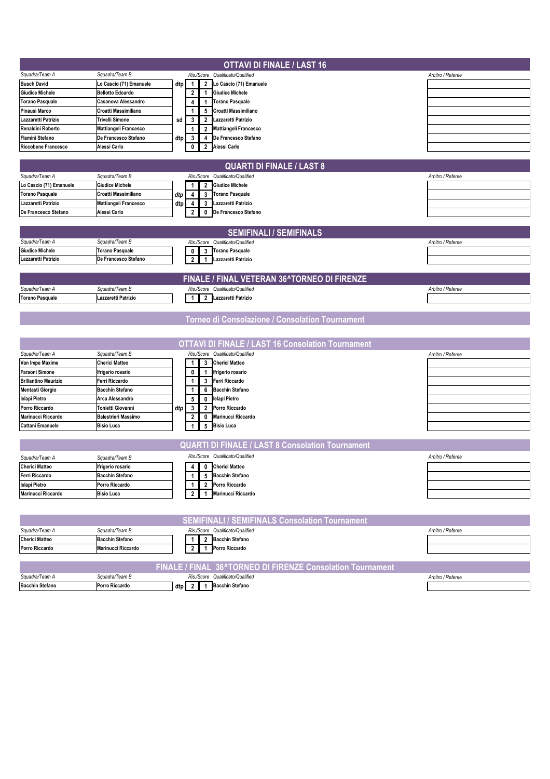|                                          |                                          |     |                                         | <b>OTTAVI DI FINALE / LAST 16</b>                          |                   |
|------------------------------------------|------------------------------------------|-----|-----------------------------------------|------------------------------------------------------------|-------------------|
| Squadra/Team A                           | Squadra/Team B                           |     |                                         | Ris./Score Qualificato/Qualified                           | Arbitro / Referee |
| <b>Busch David</b>                       | Lo Cascio (71) Emanuele                  | dtp | $\overline{2}$<br>1                     | Lo Cascio (71) Emanuele                                    |                   |
| <b>Giudice Michele</b>                   | <b>Bellotto Edoardo</b>                  |     | $\overline{2}$<br>$\mathbf{1}$          | <b>Giudice Michele</b>                                     |                   |
| <b>Torano Pasquale</b>                   | Casanova Alessandro                      |     | $\mathbf{1}$<br>4                       | <b>Torano Pasquale</b>                                     |                   |
| <b>Pinausi Marco</b>                     | Croatti Massimiliano                     |     | 5<br>1                                  | Croatti Massimiliano                                       |                   |
| Lazzaretti Patrizio                      | <b>Trivelli Simone</b>                   | sd  | 3<br>$\overline{2}$                     | Lazzaretti Patrizio                                        |                   |
| <b>Renaldini Roberto</b>                 | Mattiangeli Francesco                    |     | $\overline{2}$<br>1                     | <b>Mattiangeli Francesco</b>                               |                   |
| <b>Flamini Stefano</b>                   | De Francesco Stefano                     | dtp | 3<br>4                                  | De Francesco Stefano                                       |                   |
| <b>Riccobene Francesco</b>               | Alessi Carlo                             |     | 0<br>$\overline{2}$                     | Alessi Carlo                                               |                   |
|                                          |                                          |     |                                         |                                                            |                   |
|                                          |                                          |     |                                         | <b>QUARTI DI FINALE / LAST 8</b>                           |                   |
| Squadra/Team A                           | Squadra/Team B                           |     |                                         | Ris./Score Qualificato/Qualified                           | Arbitro / Referee |
| Lo Cascio (71) Emanuele                  | <b>Giudice Michele</b>                   |     | $\overline{2}$                          | <b>Giudice Michele</b>                                     |                   |
| <b>Torano Pasquale</b>                   | Croatti Massimiliano                     | dtp | 3<br>4                                  | <b>Torano Pasquale</b>                                     |                   |
| Lazzaretti Patrizio                      | Mattiangeli Francesco                    | dtp | 3<br>4                                  | Lazzaretti Patrizio                                        |                   |
| De Francesco Stefano                     | Alessi Carlo                             |     | 2<br>0                                  | De Francesco Stefano                                       |                   |
|                                          |                                          |     |                                         |                                                            |                   |
|                                          |                                          |     |                                         | <b>SEMIFINALI / SEMIFINALS</b>                             |                   |
|                                          |                                          |     |                                         |                                                            |                   |
| Squadra/Team A<br><b>Giudice Michele</b> | Squadra/Team B<br><b>Torano Pasquale</b> |     | Ris./Score                              | Qualificato/Qualified                                      | Arbitro / Referee |
| Lazzaretti Patrizio                      | De Francesco Stefano                     |     | 3<br>0                                  | <b>Torano Pasquale</b>                                     |                   |
|                                          |                                          |     | $\overline{2}$<br>$\mathbf{1}$          | Lazzaretti Patrizio                                        |                   |
|                                          |                                          |     |                                         |                                                            |                   |
|                                          |                                          |     |                                         | FINALE / FINAL VETERAN 36^TORNEO DI FIRENZE                |                   |
| Squadra/Team A                           | Squadra/Team B                           |     |                                         | Ris./Score Qualificato/Qualified                           | Arbitro / Referee |
| <b>Torano Pasquale</b>                   | Lazzaretti Patrizio                      |     | $\overline{2}$<br>1                     | Lazzaretti Patrizio                                        |                   |
|                                          |                                          |     |                                         |                                                            |                   |
|                                          |                                          |     |                                         | Torneo di Consolazione / Consolation Tournament            |                   |
|                                          |                                          |     |                                         |                                                            |                   |
|                                          |                                          |     |                                         |                                                            |                   |
|                                          |                                          |     |                                         | <b>OTTAVI DI FINALE / LAST 16 Consolation Tournament</b>   |                   |
| Squadra/Team A                           | Squadra/Team B                           |     |                                         | Ris./Score Qualificato/Qualified                           | Arbitro / Referee |
| Van Impe Maxime                          | <b>Cherici Matteo</b>                    |     | 3                                       | <b>Cherici Matteo</b>                                      |                   |
| <b>Faraoni Simone</b>                    | Ifrigerio rosario                        |     | $\mathbf{1}$<br>0                       | Ifrigerio rosario                                          |                   |
| <b>Brillantino Maurizio</b>              | Ferri Riccardo                           |     | 1<br>3                                  | <b>Ferri Riccardo</b>                                      |                   |
| <b>Mentasti Giorgio</b>                  | <b>Bacchin Stefano</b>                   |     | 6<br>1                                  | <b>Bacchin Stefano</b>                                     |                   |
| lelapi Pietro                            | Arca Alessandro                          |     | 5<br>0                                  | lelapi Pietro                                              |                   |
| Porro Riccardo                           | Tonietti Giovanni                        | dtp | 3<br>$\overline{2}$                     | Porro Riccardo                                             |                   |
| <b>Marinucci Riccardo</b>                | <b>Balestrieri Massimo</b>               |     | 0<br>2                                  | <b>Marinucci Riccardo</b>                                  |                   |
| <b>Cattani Emanuele</b>                  | <b>Bisio Luca</b>                        |     | $\sqrt{5}$<br>$\mathbf{1}$              | <b>Bisio Luca</b>                                          |                   |
|                                          |                                          |     |                                         |                                                            |                   |
|                                          |                                          |     |                                         | <b>QUARTI DI FINALE / LAST 8 Consolation Tournament</b>    |                   |
| Squadra/Team A                           | Squadra/Team B                           |     |                                         | Ris./Score Qualificato/Qualified                           | Arbitro / Referee |
| <b>Cherici Matteo</b>                    | Ifrigerio rosario                        |     | 0<br>4                                  | <b>Cherici Matteo</b>                                      |                   |
| Ferri Riccardo                           | <b>Bacchin Stefano</b>                   |     | 1                                       | 5 Bacchin Stefano                                          |                   |
| lelapi Pietro                            | Porro Riccardo                           |     | 1                                       | 2 Porro Riccardo                                           |                   |
| Marinucci Riccardo                       | <b>Bisio Luca</b>                        |     | $\overline{2}$<br>$\mathbf{1}$          | Marinucci Riccardo                                         |                   |
|                                          |                                          |     |                                         |                                                            |                   |
|                                          |                                          |     |                                         |                                                            |                   |
|                                          |                                          |     |                                         | <b>SEMIFINALI / SEMIFINALS Consolation Tournament</b>      |                   |
| Squadra/Team A                           | Squadra/Team B                           |     |                                         | Ris./Score Qualificato/Qualified                           | Arbitro / Referee |
| <b>Cherici Matteo</b>                    | <b>Bacchin Stefano</b>                   |     | $\overline{2}$<br>1                     | <b>Bacchin Stefano</b>                                     |                   |
| Porro Riccardo                           | Marinucci Riccardo                       |     | $\overline{\mathbf{2}}$<br>$\mathbf{1}$ | Porro Riccardo                                             |                   |
|                                          |                                          |     |                                         |                                                            |                   |
|                                          |                                          |     |                                         | FINALE / FINAL 36^TORNEO DI FIRENZE Consolation Tournament |                   |
| Squadra/Team A                           | Squadra/Team B                           |     |                                         | Ris./Score Qualificato/Qualified                           | Arbitro / Referee |
| <b>Bacchin Stefano</b>                   | Porro Riccardo                           |     |                                         | dtp 2 1 Bacchin Stefano                                    |                   |
|                                          |                                          |     |                                         |                                                            |                   |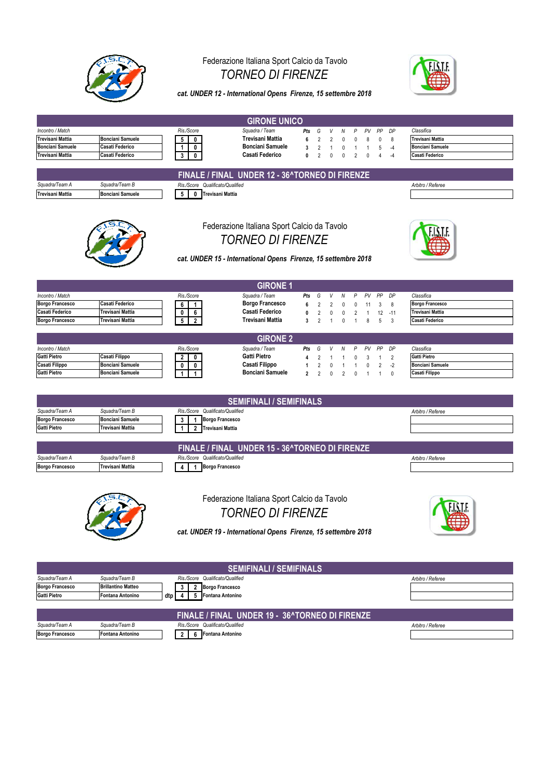

### Federazione Italiana Sport Calcio da Tavolo *TORNEO DI FIRENZE*



*cat. UNDER 12 - International Opens Firenze, 15 settembre 2018*

|                                                                 |                                                               |                                                                                                                                            | <b>GIRONE UNICO</b>                                                                                                                       |                                              |                                                                                |                         |
|-----------------------------------------------------------------|---------------------------------------------------------------|--------------------------------------------------------------------------------------------------------------------------------------------|-------------------------------------------------------------------------------------------------------------------------------------------|----------------------------------------------|--------------------------------------------------------------------------------|-------------------------|
| Incontro / Match                                                |                                                               | Ris./Score                                                                                                                                 | Squadra / Team                                                                                                                            | Pts<br>G<br>V                                | N<br>P<br>PV<br>PP<br>DP                                                       | Classifica              |
| <b>Trevisani Mattia</b>                                         | <b>Bonciani Samuele</b>                                       | 0<br>5                                                                                                                                     | <b>Trevisani Mattia</b>                                                                                                                   | 6<br>$\overline{2}$<br>$\overline{2}$        | $\mathbf 0$<br>0<br>8<br>0<br>8                                                | Trevisani Mattia        |
| <b>Bonciani Samuele</b>                                         | Casati Federico                                               | 1<br>0                                                                                                                                     | <b>Bonciani Samuele</b>                                                                                                                   | 3<br>$\overline{\mathbf{c}}$<br>$\mathbf{1}$ | $\pmb{0}$<br>5<br>$\overline{1}$<br>$\mathbf{1}$<br>$-4$                       | <b>Bonciani Samuele</b> |
| <b>Trevisani Mattia</b>                                         | Casati Federico                                               | 3<br>$\mathbf 0$                                                                                                                           | Casati Federico                                                                                                                           | 0<br>$\overline{2}$<br>0                     | $\overline{2}$<br>$\mathbf{0}$<br>0<br>$\overline{4}$<br>$-4$                  | Casati Federico         |
|                                                                 |                                                               |                                                                                                                                            |                                                                                                                                           |                                              |                                                                                |                         |
|                                                                 |                                                               |                                                                                                                                            | FINALE / FINAL UNDER 12 - 36^TORNEO DI FIRENZE                                                                                            |                                              |                                                                                |                         |
| Squadra/Team A                                                  | Squadra/Team B                                                | Ris./Score Qualificato/Qualified                                                                                                           |                                                                                                                                           |                                              |                                                                                | Arbitro / Referee       |
| <b>Trevisani Mattia</b>                                         | <b>Bonciani Samuele</b>                                       | 5<br>0<br><b>Trevisani Mattia</b>                                                                                                          |                                                                                                                                           |                                              |                                                                                |                         |
|                                                                 |                                                               |                                                                                                                                            | Federazione Italiana Sport Calcio da Tavolo<br><b>TORNEO DI FIRENZE</b><br>cat. UNDER 15 - International Opens Firenze, 15 settembre 2018 |                                              |                                                                                |                         |
|                                                                 |                                                               |                                                                                                                                            | <b>GIRONE 1</b>                                                                                                                           |                                              |                                                                                |                         |
| Incontro / Match                                                |                                                               | Ris./Score                                                                                                                                 | Squadra / Team                                                                                                                            | Pts<br>G<br>V                                | PP<br>DP<br>N<br>Ρ<br>PV                                                       | Classifica              |
| <b>Borgo Francesco</b>                                          | Casati Federico                                               | 6                                                                                                                                          | Borgo Francesco                                                                                                                           | 6<br>$\overline{2}$<br>2                     | $\mathbf 0$<br>3<br>8<br>0<br>11                                               | <b>Borgo Francesco</b>  |
| Casati Federico                                                 | Trevisani Mattia                                              | 0<br>6                                                                                                                                     | Casati Federico                                                                                                                           | 0<br>$\overline{2}$<br>0                     | $\pmb{0}$<br>$\overline{2}$<br>12<br>$-11$<br>-1                               | <b>Trevisani Mattia</b> |
| <b>Borgo Francesco</b>                                          | Trevisani Mattia                                              | 5<br>$\overline{2}$                                                                                                                        | Trevisani Mattia                                                                                                                          | 3<br>$\overline{2}$<br>$\mathbf{1}$          | $5\phantom{.0}$<br>8<br>3<br>0<br>$\overline{1}$                               | Casati Federico         |
|                                                                 |                                                               |                                                                                                                                            |                                                                                                                                           |                                              |                                                                                |                         |
|                                                                 |                                                               |                                                                                                                                            | <b>GIRONE 2</b>                                                                                                                           |                                              |                                                                                |                         |
| Incontro / Match                                                |                                                               | Ris./Score                                                                                                                                 | Squadra / Team                                                                                                                            | Pts<br>G                                     | P<br>PV<br>PP<br>DP<br>N                                                       | Classifica              |
| <b>Gatti Pietro</b>                                             | Casati Filippo                                                | 2<br>0                                                                                                                                     | Gatti Pietro                                                                                                                              | 4<br>$\overline{2}$<br>1                     | $\overline{2}$<br>0<br>3<br>$\mathbf{1}$<br>1                                  | <b>Gatti Pietro</b>     |
| Casati Filippo                                                  | <b>Bonciani Samuele</b>                                       | 0<br>0                                                                                                                                     | Casati Filippo                                                                                                                            | 1<br>$\overline{\mathbf{c}}$<br>0            | $\overline{2}$<br>$-2$<br>0<br>$\overline{1}$<br>$\mathbf{1}$                  | <b>Bonciani Samuele</b> |
| Gatti Pietro                                                    | <b>Bonciani Samuele</b>                                       | 1<br>1                                                                                                                                     | <b>Bonciani Samuele</b>                                                                                                                   | $\overline{2}$<br>$\mathfrak{p}$<br>$\Omega$ | $\overline{2}$<br>$\mathbf{1}$<br>$\mathbf{0}$<br>$\mathbf{1}$<br>$\mathbf{0}$ | Casati Filippo          |
| Squadra/Team A<br><b>Borgo Francesco</b><br><b>Gatti Pietro</b> | Squadra/Team B<br><b>Bonciani Samuele</b><br>Trevisani Mattia | Ris./Score Qualificato/Qualified<br><b>Borgo Francesco</b><br>3<br>$\mathbf{1}$<br><b>Trevisani Mattia</b><br>$\mathbf{1}$<br>$\mathbf{2}$ | <b>SEMIFINALI / SEMIFINALS</b>                                                                                                            |                                              |                                                                                | Arbitro / Referee       |
|                                                                 |                                                               |                                                                                                                                            |                                                                                                                                           |                                              |                                                                                |                         |
|                                                                 |                                                               |                                                                                                                                            | FINALE / FINAL UNDER 15 - 36^TORNEO DI FIRENZE                                                                                            |                                              |                                                                                |                         |
| Squadra/Team A<br><b>Borgo Francesco</b>                        | Squadra/Team B<br>Trevisani Mattia                            | Ris./Score<br>Qualificato/Qualified<br><b>Borgo Francesco</b>                                                                              |                                                                                                                                           |                                              |                                                                                | Arbitro / Referee       |
|                                                                 |                                                               | $\mathbf{1}$<br>4                                                                                                                          |                                                                                                                                           |                                              |                                                                                |                         |
|                                                                 |                                                               |                                                                                                                                            | Federazione Italiana Sport Calcio da Tavolo<br><b>TORNEO DI FIRENZE</b><br>cat. UNDER 19 - International Opens Firenze, 15 settembre 2018 |                                              |                                                                                |                         |
|                                                                 |                                                               |                                                                                                                                            | <b>SEMIFINALI / SEMIFINALS</b>                                                                                                            |                                              |                                                                                |                         |
| Squadra/Team A                                                  | Squadra/Team B                                                | Ris./Score Qualificato/Qualified                                                                                                           |                                                                                                                                           |                                              |                                                                                | Arbitro / Referee       |
| <b>Borgo Francesco</b>                                          | <b>Brillantino Matteo</b>                                     | <b>Borgo Francesco</b><br>3<br>$\overline{2}$                                                                                              |                                                                                                                                           |                                              |                                                                                |                         |
| <b>Gatti Pietro</b>                                             | Fontana Antonino                                              | <b>Fontana Antonino</b><br>dtp<br>4<br>5                                                                                                   |                                                                                                                                           |                                              |                                                                                |                         |
|                                                                 |                                                               |                                                                                                                                            |                                                                                                                                           |                                              |                                                                                |                         |
|                                                                 |                                                               |                                                                                                                                            | FINALE / FINAL UNDER 19 - 36^TORNEO DI FIRENZE                                                                                            |                                              |                                                                                |                         |
| Squadra/Team A                                                  | Squadra/Team B                                                | Ris./Score Qualificato/Qualified                                                                                                           |                                                                                                                                           |                                              |                                                                                | Arbitro / Referee       |
| <b>Borgo Francesco</b>                                          | Fontana Antonino                                              | 6<br><b>Fontana Antonino</b><br>2 <sub>1</sub>                                                                                             |                                                                                                                                           |                                              |                                                                                |                         |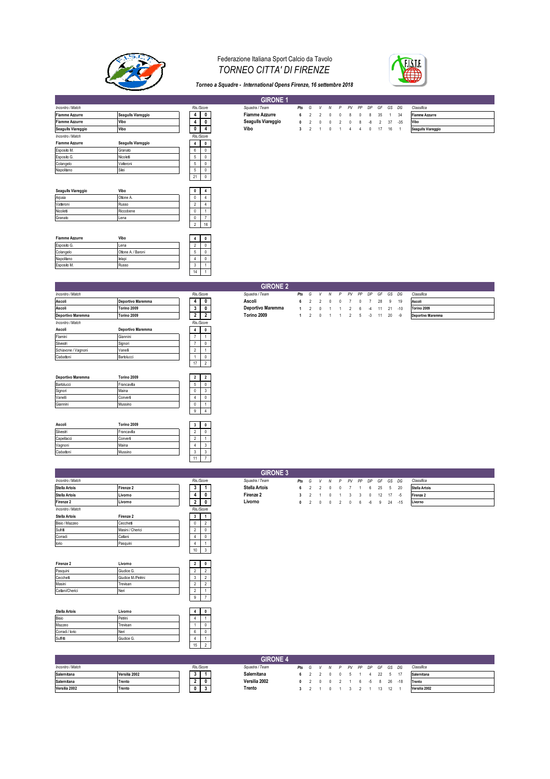

### Federazione Italiana Sport Calcio da Tavolo *TORNEO CITTA' DI FIRENZE*



*Torneo a Squadre - International Opens Firenze, 16 settembre 2018*

|                       |                    |                               | <b>GIRONE 1</b>       |                         |                |                |             |                |                |          |    |                |              |                |                       |
|-----------------------|--------------------|-------------------------------|-----------------------|-------------------------|----------------|----------------|-------------|----------------|----------------|----------|----|----------------|--------------|----------------|-----------------------|
| Incontro / Match      |                    | Ris/Score                     | Squadra / Team        | Pts                     | G              | v              | N           | P              | PV             | PP       | DP | GF             | GS DG        |                | Classifica            |
| <b>Fiamme Azzurre</b> | Seagulls Viareggio | 4<br>0                        | <b>Fiamme Azzurre</b> | 6                       | 2              | $\mathcal{P}$  | 0           | $\Omega$       |                | $\Omega$ | 8  | 35             | $\mathbf{1}$ | 34             | <b>Fiamme Azzurre</b> |
| <b>Fiamme Azzurre</b> | Vibo               | 4<br>0                        | Seagulls Viareggio    | $\mathbf{0}$            | $\overline{2}$ | $\theta$       | $\pmb{0}$   | $\overline{2}$ | 0              | 8        | -8 | $\overline{2}$ | 37           | $-35$          | Vibo                  |
| Seagulls Viareggio    | Vibo               | $\mathbf 0$<br>4              | Vibo                  | $\overline{\mathbf{3}}$ | $\overline{2}$ | $\overline{1}$ | $\mathbf 0$ | $\overline{1}$ | $\overline{4}$ | 4        | 0  | 17             | 16           | $\overline{1}$ | Seagulls Viareggio    |
| Incontro / Match      |                    | Ris/Score                     |                       |                         |                |                |             |                |                |          |    |                |              |                |                       |
| <b>Fiamme Azzurre</b> | Seagulls Viareggio | $\overline{4}$<br>$\mathbf 0$ |                       |                         |                |                |             |                |                |          |    |                |              |                |                       |
| Esposito M.           | Granato            | 6<br>0                        |                       |                         |                |                |             |                |                |          |    |                |              |                |                       |
| Esposito G.           | Nicoletti          | 5<br>$\mathbb O$              |                       |                         |                |                |             |                |                |          |    |                |              |                |                       |
| Colangelo             | Vatteroni          | 5<br>$\mathbb O$              |                       |                         |                |                |             |                |                |          |    |                |              |                |                       |
| Napolitano            | Silei              | 5<br>$\mathbb O$              |                       |                         |                |                |             |                |                |          |    |                |              |                |                       |
|                       |                    | $\mathbb O$<br>21             |                       |                         |                |                |             |                |                |          |    |                |              |                |                       |
|                       |                    |                               |                       |                         |                |                |             |                |                |          |    |                |              |                |                       |
| Seagulls Viareggio    | Vibo               | $\mathbf 0$<br>4              |                       |                         |                |                |             |                |                |          |    |                |              |                |                       |
| Arpaia                | Ottone A.          | 0<br>$\overline{4}$           |                       |                         |                |                |             |                |                |          |    |                |              |                |                       |
| Vatteroni             | Russo              | $\overline{2}$<br>4           |                       |                         |                |                |             |                |                |          |    |                |              |                |                       |
| Nicoletti             | Riccobene          | $\mathbf 0$<br>$\overline{1}$ |                       |                         |                |                |             |                |                |          |    |                |              |                |                       |
| Granato               | Lena               | $\mathbf 0$<br>$\overline{7}$ |                       |                         |                |                |             |                |                |          |    |                |              |                |                       |
|                       |                    | $\overline{2}$<br>16          |                       |                         |                |                |             |                |                |          |    |                |              |                |                       |
|                       |                    |                               |                       |                         |                |                |             |                |                |          |    |                |              |                |                       |
| <b>Fiamme Azzurre</b> | Vibo               | $\mathbf 0$<br>4              |                       |                         |                |                |             |                |                |          |    |                |              |                |                       |
| Esposito G.           | Lena               | $\overline{2}$<br>$^{\circ}$  |                       |                         |                |                |             |                |                |          |    |                |              |                |                       |
| Colangelo             | Ottone A. / Baroni | 5<br>0                        |                       |                         |                |                |             |                |                |          |    |                |              |                |                       |
| Napolitano            | lelapi             | 0<br>$\overline{4}$           |                       |                         |                |                |             |                |                |          |    |                |              |                |                       |
| Esposito M.           | Russo              | 3                             |                       |                         |                |                |             |                |                |          |    |                |              |                |                       |
|                       |                    | 14                            |                       |                         |                |                |             |                |                |          |    |                |              |                |                       |
|                       |                    |                               |                       |                         |                |                |             |                |                |          |    |                |              |                |                       |
|                       |                    |                               | <b>GIRONE 2</b>       |                         |                |                |             |                |                |          |    |                |              |                |                       |
|                       |                    |                               |                       |                         |                |                |             |                |                |          |    |                |              |                |                       |

|                     |                   |                |                | _______           |              |                |                |   |   |                |   |      |    |    |       |                   |
|---------------------|-------------------|----------------|----------------|-------------------|--------------|----------------|----------------|---|---|----------------|---|------|----|----|-------|-------------------|
| Incontro / Match    |                   |                | Ris/Score      | Squadra / Team    | Pts          | G              | V              | N | P | PV PP          |   | DP   | GF |    | GS DG | Classifica        |
| Ascoli              | Deportivo Maremma |                | 4 0            | Ascoli            | 6            | 2              | $\mathfrak{p}$ |   |   |                |   |      | 28 | 9  | 19    | Ascoli            |
| Ascoli              | Torino 2009       | 3              | 0              | Deportivo Maremma | $\mathbf{1}$ | $\overline{2}$ |                |   |   |                |   |      | 11 | 21 | $-10$ | Torino 2009       |
| Deportivo Maremma   | Torino 2009       | $\overline{2}$ | $\overline{2}$ | Torino 2009       | 1            | $\overline{2}$ | $^{\circ}$     |   |   | $\overline{2}$ | 5 | $-3$ | 11 | 20 | -9    | Deportivo Maremma |
| Incontro / Match    |                   |                | Ris/Score      |                   |              |                |                |   |   |                |   |      |    |    |       |                   |
| Ascoli              | Deportivo Maremma | $\overline{4}$ | $\bf{0}$       |                   |              |                |                |   |   |                |   |      |    |    |       |                   |
| Flamini             | Giannini          | $\overline{7}$ |                |                   |              |                |                |   |   |                |   |      |    |    |       |                   |
| Silvestri           | Signori           | z              | 0              |                   |              |                |                |   |   |                |   |      |    |    |       |                   |
| Schiavone / Vagnoni | Vanelli           | $\overline{2}$ | $\mathbf{1}$   |                   |              |                |                |   |   |                |   |      |    |    |       |                   |
| Ciabattoni          | Bartolucci        |                | 0              |                   |              |                |                |   |   |                |   |      |    |    |       |                   |
|                     |                   | 17             | $\overline{2}$ |                   |              |                |                |   |   |                |   |      |    |    |       |                   |
|                     |                   |                |                |                   |              |                |                |   |   |                |   |      |    |    |       |                   |
| Deportivo Maremma   | Torino 2009       | $\overline{2}$ | $\overline{2}$ |                   |              |                |                |   |   |                |   |      |    |    |       |                   |
| Bartolucci          | Francavilla       | 5              | 0              |                   |              |                |                |   |   |                |   |      |    |    |       |                   |
| Signori             | Maina             | 0              | 3              |                   |              |                |                |   |   |                |   |      |    |    |       |                   |
| Vanelli             | Converti          | 4              | 0              |                   |              |                |                |   |   |                |   |      |    |    |       |                   |
| Giannini            | Mussino           | 0              |                |                   |              |                |                |   |   |                |   |      |    |    |       |                   |
|                     |                   | 9              | $\overline{4}$ |                   |              |                |                |   |   |                |   |      |    |    |       |                   |
|                     |                   |                |                |                   |              |                |                |   |   |                |   |      |    |    |       |                   |
| Ascoli              | Torino 2009       | $\mathbf{3}$   | $\mathbf 0$    |                   |              |                |                |   |   |                |   |      |    |    |       |                   |
| Silvestri           | Francavilla       | $\overline{2}$ | 0              |                   |              |                |                |   |   |                |   |      |    |    |       |                   |
| Capellacci          | Converti          | $\overline{2}$ |                |                   |              |                |                |   |   |                |   |      |    |    |       |                   |
| Vagnoni             | Maina             | 4              | 3              |                   |              |                |                |   |   |                |   |      |    |    |       |                   |
| Ciabattoni          | Mussino           | 3              | 3              |                   |              |                |                |   |   |                |   |      |    |    |       |                   |
|                     |                   | 11             | $\overline{7}$ |                   |              |                |                |   |   |                |   |      |    |    |       |                   |

|                      |                  |           |                         | <b>GIRONE 3</b>      |              |   |               |              |               |            |    |    |    |       |       |                      |
|----------------------|------------------|-----------|-------------------------|----------------------|--------------|---|---------------|--------------|---------------|------------|----|----|----|-------|-------|----------------------|
| Incontro / Match     |                  | Ris/Score |                         | Squadra / Team       | Pts          | G | v             | N            | P             | PV         | PP | DP | GF | GS DG |       | Classifica           |
| <b>Stella Artois</b> | Firenze 2        | 3         |                         | <b>Stella Artois</b> | 6.           |   | $\mathcal{P}$ | $\Omega$     | $\mathbf{v}$  |            |    | 6  | 25 | -5    | 20    | <b>Stella Artois</b> |
| <b>Stella Artois</b> | Livorno          |           | 0                       | Firenze 2            | $\mathbf{3}$ |   |               | $\mathbf{0}$ |               | 3          | 3  | 0  | 12 | 17    | -5    | Firenze 2            |
| Firenze 2            | Livorno          | 2         | 0                       | Livorno              | $\mathbf{0}$ |   | $^{\circ}$    | $\mathbf{0}$ | $\mathcal{P}$ | $^{\circ}$ | 6  | -6 | 9  | 24    | $-15$ | Livorno              |
| Incontro / Match     |                  | Ris/Score |                         |                      |              |   |               |              |               |            |    |    |    |       |       |                      |
| Stella Artois        | Firenze 2        | 3         | -1                      |                      |              |   |               |              |               |            |    |    |    |       |       |                      |
| Bisio / Mazzeo       | Cecchetti        |           | $\sim$<br>۷             |                      |              |   |               |              |               |            |    |    |    |       |       |                      |
| Sufritti             | Masini / Cherici | ∠         | $\mathbf{0}$            |                      |              |   |               |              |               |            |    |    |    |       |       |                      |
| Corradi              | Cattani          |           | $\Omega$                |                      |              |   |               |              |               |            |    |    |    |       |       |                      |
| lorio                | Pasquini         |           |                         |                      |              |   |               |              |               |            |    |    |    |       |       |                      |
|                      |                  | 10        | $\overline{\mathbf{3}}$ |                      |              |   |               |              |               |            |    |    |    |       |       |                      |
|                      |                  |           |                         |                      |              |   |               |              |               |            |    |    |    |       |       |                      |
| Firenze 2            | Livorno          |           | $\mathbf{0}$            |                      |              |   |               |              |               |            |    |    |    |       |       |                      |

| Firenze 2       | Livorno            |  |  |
|-----------------|--------------------|--|--|
| Pasquini        | Giudice G.         |  |  |
| Cecchetti       | Giudice M./Petrini |  |  |
| Masini          | Trevisan           |  |  |
| Cattani/Cherici | Neri               |  |  |
|                 |                    |  |  |

| <b>Stella Artois</b> | Livorno    |    |  |
|----------------------|------------|----|--|
| Bisio                | Petrini    |    |  |
| Mazzeo               | Trevisan   |    |  |
| Corradi / lorio      | Neri       | ь  |  |
| Suffritti            | Giudice G. |    |  |
|                      |            | 15 |  |

|                  |               |           |        | <b>GIRONE 4</b> |  |  |                               |  |         |       |               |
|------------------|---------------|-----------|--------|-----------------|--|--|-------------------------------|--|---------|-------|---------------|
| Incontro / Match |               | Ris/Score |        | Sauadra / Team  |  |  | Pts G V N P PV PP DP GF GS DG |  |         |       | Classifica    |
| Salernitana      | Versilia 2002 |           |        | Salernitana     |  |  | 6 2 2 0 0 5 1 4               |  | 22 5 17 |       | Salernitana   |
| Salernitana      | Trento        |           |        | Versilia 2002   |  |  | 0 2 0 0 2 1 6 5               |  | 8 26    | $-18$ | Trento        |
| Versilia 2002    | Trento        |           | Trento |                 |  |  |                               |  |         |       | Versilia 2002 |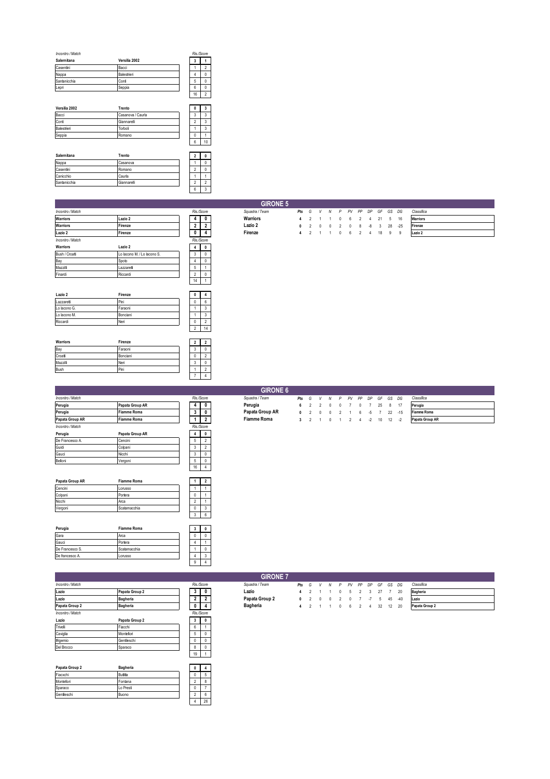| Incontro / Match |               |    | Ris/Score |
|------------------|---------------|----|-----------|
| Salernitana      | Versilia 2002 | 3  |           |
| Casentini        | Bacci         |    |           |
| Nappa            | Balestrieri   |    |           |
| Santanicchia     | Conf          | 5  |           |
| Lepri            | Seppia        | 6  |           |
|                  |               | 16 |           |

| Versilia 2002 | Trento            |  |    |
|---------------|-------------------|--|----|
| Bacci         | Casanova / Caurla |  |    |
| Conti         | Giannarelli       |  |    |
| Balestrieri   | Torboli           |  |    |
| Seppia        | Romano            |  |    |
|               |                   |  | 10 |

| Salernitana  | Trento      |  |  |
|--------------|-------------|--|--|
| Nappa        | Casanova    |  |  |
| Casentini    | Romano      |  |  |
| Canicchio    | Caurla      |  |  |
| Santanicchia | Giannarelli |  |  |
|              |             |  |  |

| Incontro / Match |                             | Ris /Score |   |
|------------------|-----------------------------|------------|---|
| <b>Warriors</b>  | Lazio 2                     |            | o |
| <b>Warriors</b>  | Firenze                     | 2          | 2 |
| Lazio 2          | Firenze                     |            |   |
| Incontro / Match |                             | Ris/Score  |   |
| <b>Warriors</b>  | Lazio 2                     |            | 0 |
| Bush / Croati    | Lo lacono M. / Lo lacono S. | 3          | 0 |
| Bay              | Spoto                       | 4          | 0 |
| Mazzilli         | Lazzaretti                  | 5          |   |
| Finardi          | Riccardi                    | 2          | Λ |
|                  |                             |            |   |

| Lazio 2      | Firenze  |  |    |
|--------------|----------|--|----|
| Lazzaretti   | Pini     |  |    |
| Lo lacono G. | Faraoni  |  |    |
| Lo lacono M. | Bonciani |  |    |
| Riccardi     | Neri     |  |    |
|              |          |  | 14 |

| Warriors | Firenze  | 2 |  |
|----------|----------|---|--|
| Bay      | Faraoni  | × |  |
| Croati   | Bonciani |   |  |
| Mazzilli | Neri     | × |  |
| Bush     | Pini     |   |  |
|          |          |   |  |

| Incontro / Match |                    |    | Ris/Score  |
|------------------|--------------------|----|------------|
| Perugia          | Papata Group AR    | 4  | 0          |
| Perugia          | <b>Fiamme Roma</b> | 3  |            |
| Papata Group AR  | <b>Fiamme Roma</b> |    | 2          |
| Incontro / Match |                    |    | Ris /Score |
| Perugia          | Papata Group AR    | 4  | 0          |
| De Francesco A.  | Cencini            | 5  | 2          |
| Guidi            | Colpani            | 3  | 2          |
| Gauci            | Nicchi             | 3  | 0          |
| Belloni          | Vergoni            | 5  | n          |
|                  |                    | 16 | 4          |

| Papata Group AR | <b>Fiamme Roma</b> |   |  |
|-----------------|--------------------|---|--|
| Cencini         | Lorusso            |   |  |
| Colpani         | Portera            | 0 |  |
| Nicchi          | Arca               |   |  |
| Vergoni         | Scatamacchia       | 0 |  |
|                 |                    |   |  |

| Perugia         | <b>Fiamme Roma</b> |  |  |
|-----------------|--------------------|--|--|
| Gara            | Arca               |  |  |
| Gauci           | Portera            |  |  |
| De Francesco S. | Scatamacchia       |  |  |
| De francesco A. | Lorusso            |  |  |
|                 |                    |  |  |

|                  |                 |    |           | .               |     |   |              |   |   |    |    |           |    |    |       |                 |
|------------------|-----------------|----|-----------|-----------------|-----|---|--------------|---|---|----|----|-----------|----|----|-------|-----------------|
| Incontro / Match |                 |    | Ris/Score | Squadra / Team  | Pts | G | v            | Λ | P | PV | PP | <b>DP</b> | GF | GS | DG    | Classifica      |
| Lazio            | Papata Group 2  |    | 0         | Lazio           |     |   |              |   |   | ÷. |    |           | 27 |    | 20    | <b>Bagheria</b> |
| Lazio            | <b>Bagheria</b> |    |           | Papata Group 2  | 0   |   | $\mathbf{0}$ |   |   | n  |    | $-I$      | 5. | 45 | $-40$ | Lazio           |
| Papata Group 2   | Bagheria        |    |           | <b>Bagheria</b> | 4   |   |              |   |   | 6  |    | 4         | 32 | 12 | 20    | Papata Group 2  |
| Incontro / Match |                 |    | Ris/Score |                 |     |   |              |   |   |    |    |           |    |    |       |                 |
| Lazio            | Papata Group 2  | 5. |           |                 |     |   |              |   |   |    |    |           |    |    |       |                 |
| Trivelli         | Fiacchi         | 6  |           |                 |     |   |              |   |   |    |    |           |    |    |       |                 |
| Caviglia         | Montefiori      | G  |           |                 |     |   |              |   |   |    |    |           |    |    |       |                 |
| Ifrigemio        | Genfleschi      | 0  | 0         |                 |     |   |              |   |   |    |    |           |    |    |       |                 |
| Del Brocco       | Sparaco         | 8  | $\theta$  |                 |     |   |              |   |   |    |    |           |    |    |       |                 |
|                  |                 | 19 |           |                 |     |   |              |   |   |    |    |           |    |    |       |                 |

| Papata Group 2 | Bagheria  | o |    |
|----------------|-----------|---|----|
| Fiacxchi       | Butitta   |   |    |
| Montefiori     | Fontana   |   |    |
| Sparaco        | Lo Presti | u |    |
| Gentileschi    | Buono     |   |    |
|                |           |   | 26 |

|                  |                             |               | $\sim$ $\sim$ |                 |           |                |          |              |              |     |                |    |    |    |       |            |
|------------------|-----------------------------|---------------|---------------|-----------------|-----------|----------------|----------|--------------|--------------|-----|----------------|----|----|----|-------|------------|
|                  |                             |               |               | <b>GIRONE 5</b> |           |                |          |              |              |     |                |    |    |    |       |            |
| Incontro / Match |                             |               | Ris/Score     | Squadra / Team  | Pts G V N |                |          |              |              |     | P PV PP DP     |    | GF | GS | DG    | Classifica |
| Warriors         | Lazio 2                     | 4             | $\mathbf{0}$  | Warriors        | 4         | $\mathfrak{p}$ |          |              | $\mathbf{0}$ | -6  | $\mathcal{P}$  | 4  | 21 | -5 | 16    | Warriors   |
| Warriors         | Firenze                     | $\mathbf{2}$  |               | Lazio 2         |           | $\overline{2}$ | $\sim$ 0 | $\mathbf{0}$ |              | 2 0 | 8              | -8 | 3  | 28 | $-25$ | Firenze    |
| Lazio 2          | Firenze                     | $\mathbf{0}$  | 4             | Firenze         | 4         | $\overline{2}$ |          | 1 1 0 6      |              |     | $\overline{2}$ | 4  | 18 | -9 | -9    | Lazio 2    |
| Incontro / Match |                             |               | Ris/Score     |                 |           |                |          |              |              |     |                |    |    |    |       |            |
| Warriors         | Lazio 2                     |               |               |                 |           |                |          |              |              |     |                |    |    |    |       |            |
| Bush / Croati    | Lo lacono M. / Lo lacono S. | 3             |               |                 |           |                |          |              |              |     |                |    |    |    |       |            |
| Bay              | Spoto                       |               | 0             |                 |           |                |          |              |              |     |                |    |    |    |       |            |
| Mazzilli         | Lazzaretti                  | 5             |               |                 |           |                |          |              |              |     |                |    |    |    |       |            |
| Finardi          | Riccardi                    | $\mathcal{D}$ | 0             |                 |           |                |          |              |              |     |                |    |    |    |       |            |
|                  |                             | 14            |               |                 |           |                |          |              |              |     |                |    |    |    |       |            |

| <b>GIRONE 6</b> |  |  |
|-----------------|--|--|

|                  |                    |  |           | <b>GIRONE 6</b> |           |  |  |                                      |  |           |  |                 |
|------------------|--------------------|--|-----------|-----------------|-----------|--|--|--------------------------------------|--|-----------|--|-----------------|
| Incontro / Match |                    |  | Ris/Score | Sauadra / Team  |           |  |  | <b>Pts</b> G V N P PV PP DP GF GS DG |  |           |  | Classifica      |
| Perugia          | Papata Group AR    |  | 0         | Perugia         |           |  |  | 6 2 2 0 0 7 0 7 25 8 17              |  |           |  | Perugia         |
| Perugia          | <b>Fiamme Roma</b> |  |           | Papata Group AR | 0 2 0 0 2 |  |  |                                      |  | 16.572.45 |  | Fiamme Roma     |
| Papata Group AR  | <b>Fiamme Roma</b> |  |           | Fiamme Roma     |           |  |  | 2 4 -2 10 12 -2                      |  |           |  | Papata Group AR |
| Incontro / Match |                    |  | Die Pease |                 |           |  |  |                                      |  |           |  |                 |

| Incontro / Match |                       |   | Ris /Score         | Sauadra / Team | Pts    |        |        | . G V N P PV PP | DP | GF    | GS. | DG         | Classifica      |
|------------------|-----------------------|---|--------------------|----------------|--------|--------|--------|-----------------|----|-------|-----|------------|-----------------|
| Lazio            | <b>Papata Group 2</b> | v | $\mathbf{0}$       | Lazio          |        |        |        | 0 5 2 3 27      |    |       |     | - 20       | <b>Bagheria</b> |
| المقدم ا         | <b>Dealers</b>        |   | $\mathbf{\hat{a}}$ | Donato Croup 2 | $\sim$ | $\sim$ | $\sim$ |                 |    | $  -$ |     | $\sqrt{2}$ | $1 - 1$         |

| Classifica      |
|-----------------|
| <b>Bagheria</b> |
| Lazio           |
| Papata Group 2  |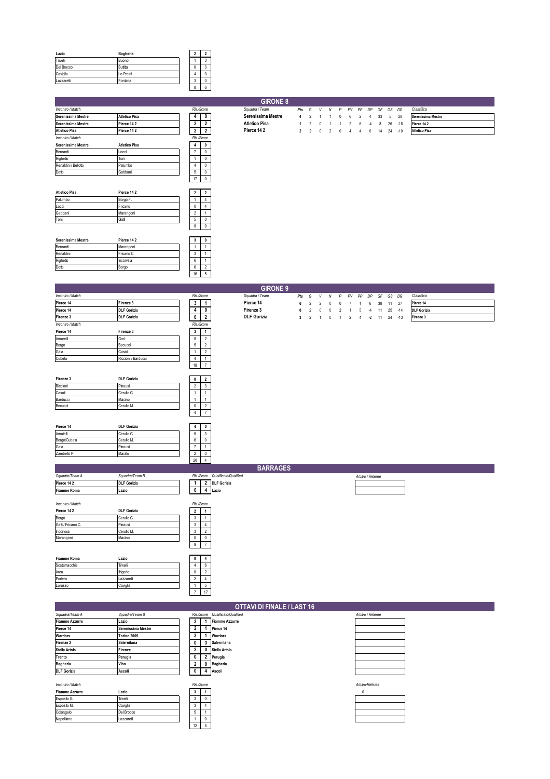| Lazio      | Bagheria  |   |  |
|------------|-----------|---|--|
| Trivelli   | Buono     |   |  |
| Del Brocco | Butitla   |   |  |
| Caviglia   | Lo Presti |   |  |
| Lazzaretti | Fontana   | c |  |
|            |           | 8 |  |

|                      |                      |                                                    | <b>GIRONE 8</b>      |                |                |                |                |              |                |                |                |    |    |       |                      |
|----------------------|----------------------|----------------------------------------------------|----------------------|----------------|----------------|----------------|----------------|--------------|----------------|----------------|----------------|----|----|-------|----------------------|
| Incontro / Match     |                      | Ris/Score                                          | Squadra / Team       | Pts            | G              |                | V N            | P            |                | PV PP          | DP             | GF |    | GS DG | Classifica           |
| Serenissima Mestre   | <b>Atletico Pisa</b> | $\mathbf{0}$<br>4                                  | Serenissima Mestre   | 4              | $\overline{2}$ | -1             | -1             | 0            | 6              | 2              | $\overline{4}$ | 33 | 5  | 28    | Serenissima Mestre   |
| Serenissima Mestre   | Pierce 14 2          | $\overline{2}$<br>$\overline{2}$                   | <b>Atletico Pisa</b> |                | $\overline{2}$ | $\Omega$       | -1             | -1           | 2              | 6              | $-4$           | 8  | 26 | $-18$ | Pierce 142           |
| <b>Atletico Pisa</b> | Pierce 142           | 2<br>$\overline{2}$                                | Pierce 142           | $\overline{2}$ | $\overline{2}$ | 0              | $\overline{2}$ | $\mathbf{0}$ | 4              | $\overline{4}$ | 0              | 14 | 24 | $-10$ | <b>Atletico Pisa</b> |
| Incontro / Match     |                      | Ris/Score                                          |                      |                |                |                |                |              |                |                |                |    |    |       |                      |
| Serenissima Mestre   | <b>Atletico Pisa</b> | $\overline{4}$<br>$\pmb{0}$                        |                      |                |                |                |                |              |                |                |                |    |    |       |                      |
| Bernardi             | Locci                | $\mathbb O$<br>$\overline{7}$                      |                      |                |                |                |                |              |                |                |                |    |    |       |                      |
| Righetto             | Toni                 | $\mathbf{0}$<br>$\mathbf{1}$                       |                      |                |                |                |                |              |                |                |                |    |    |       |                      |
| Renaldini / Bellotto | Palumbo              | $\overline{4}$<br>$^{\circ}$                       |                      |                |                |                |                |              |                |                |                |    |    |       |                      |
| Dotto                | Gabbani              | $\mathbb O$<br>5                                   |                      |                |                |                |                |              |                |                |                |    |    |       |                      |
|                      |                      | $\mathbb O$<br>17                                  |                      |                |                |                |                |              |                |                |                |    |    |       |                      |
|                      |                      |                                                    |                      |                |                |                |                |              |                |                |                |    |    |       |                      |
| <b>Atletico Pisa</b> | Pierce 142           | $\overline{\mathbf{2}}$<br>$\overline{\mathbf{2}}$ |                      |                |                |                |                |              |                |                |                |    |    |       |                      |
| Palumbo              | Borgo F.             | $\mathbf{1}$<br>$\overline{4}$                     |                      |                |                |                |                |              |                |                |                |    |    |       |                      |
| Locci                | Fricano              | $^{\circ}$<br>$\overline{4}$                       |                      |                |                |                |                |              |                |                |                |    |    |       |                      |
| Gabbani              | Marangoni            | $\overline{2}$<br>$\overline{1}$                   |                      |                |                |                |                |              |                |                |                |    |    |       |                      |
| Toni                 | Gatti                | 5<br>$\mathbb O$                                   |                      |                |                |                |                |              |                |                |                |    |    |       |                      |
|                      |                      | $\overline{9}$<br>8                                |                      |                |                |                |                |              |                |                |                |    |    |       |                      |
|                      |                      |                                                    |                      |                |                |                |                |              |                |                |                |    |    |       |                      |
| Serenissima Mestre   | Pierce 142           | $\overline{\mathbf{3}}$<br>$\mathbf 0$             |                      |                |                |                |                |              |                |                |                |    |    |       |                      |
| Bernardi             | Marangoni            | 1<br>$\overline{1}$                                |                      |                |                |                |                |              |                |                |                |    |    |       |                      |
| Renaldini            | Fricano C.           | 3<br>$\overline{1}$                                |                      |                |                |                |                |              |                |                |                |    |    |       |                      |
| Righetto             | Incorvaia            | 6<br>$\overline{1}$                                |                      |                |                |                |                |              |                |                |                |    |    |       |                      |
| Dotto                | Borgo                | 6<br>$\overline{2}$                                |                      |                |                |                |                |              |                |                |                |    |    |       |                      |
|                      |                      | $\overline{5}$<br>16                               |                      |                |                |                |                |              |                |                |                |    |    |       |                      |
|                      |                      |                                                    |                      |                |                |                |                |              |                |                |                |    |    |       |                      |
|                      |                      |                                                    | <b>GIRONE 9</b>      |                |                |                |                |              |                |                |                |    |    |       |                      |
| Incontro / Match     |                      | Ris/Score                                          | Squadra / Team       | Pts            | G              | V              | Ν              | P            | PV             | PP             | DP             | GF |    | GS DG | Classifica           |
| Pierce 14            | Firenze 3            | 3<br>-1                                            | Pierce 14            | 6              | $\overline{2}$ | $\overline{2}$ | 0              | $\theta$     |                | 1              | 6              | 38 |    | 11 27 | Pierce 14            |
| Pierce 14            | <b>DLF Gorizia</b>   | 4<br>$\mathbf{0}$                                  | Firenze 3            | $\mathbf{0}$   | $\overline{2}$ | $\Omega$       | $\pmb{0}$      | 2            | -1             | 5              | $-4$           | 11 | 25 | $-14$ | <b>DLF Gorizia</b>   |
| Firenze 3            | <b>DLF Gorizia</b>   | $\overline{2}$<br>0                                | <b>DLF Gorizia</b>   | 3              | $\overline{2}$ | $\overline{1}$ | $\mathbf{0}$   | $\mathbf{1}$ | $\overline{c}$ | $\overline{4}$ | $-2$           | 11 | 24 | $-13$ | Firenze 3            |
| Incontro / Match     |                      | Ris/Score                                          |                      |                |                |                |                |              |                |                |                |    |    |       |                      |
| Pierce 14            | Firenze 3            | $\mathbf{3}$<br>$\overline{1}$                     |                      |                |                |                |                |              |                |                |                |    |    |       |                      |
| Amarelli             | Gori                 | $\overline{2}$<br>8                                |                      |                |                |                |                |              |                |                |                |    |    |       |                      |
| Borgo                | Becucci              | 5<br>$\overline{2}$                                |                      |                |                |                |                |              |                |                |                |    |    |       |                      |
| Gaia                 | Casati               | $\overline{2}$<br>$\mathbf{1}$                     |                      |                |                |                |                |              |                |                |                |    |    |       |                      |
| Cubeta               | Riccioni / Barducci  | $\overline{4}$<br>$\mathbf{1}$                     |                      |                |                |                |                |              |                |                |                |    |    |       |                      |
|                      |                      | $\overline{7}$<br>18                               |                      |                |                |                |                |              |                |                |                |    |    |       |                      |

| Firenze 3 | <b>DLF Gorizia</b> | 0 |  |
|-----------|--------------------|---|--|
| Riccioni  | Pinausi            |   |  |
| Casati    | Cerullo G.         |   |  |
| Barducci  | Macino             |   |  |
| Becucci   | Cerullo M.         | 0 |  |
|           |                    |   |  |

| Pierce 14    | <b>DLF Gorizia</b> |    |  |
|--------------|--------------------|----|--|
| Amatelli     | Cerullo G.         | ð  |  |
| Borgo/Cubeta | Cerullo M.         | 6  |  |
| Gaia         | Pinausi            |    |  |
| Zambello P.  | Macillo            | c  |  |
|              |                    | 20 |  |

|                    |                    |  |                | 20 4                |                                 |  |  |                   |  |  |  |
|--------------------|--------------------|--|----------------|---------------------|---------------------------------|--|--|-------------------|--|--|--|
| <b>BARRAGES</b>    |                    |  |                |                     |                                 |  |  |                   |  |  |  |
| Squadra/Team A     | Squadra/Team B     |  |                |                     | Ris/Score Qualificato/Qualified |  |  | Arbitro / Referee |  |  |  |
| Pierce 14 2        | <b>DLF Gorizia</b> |  |                | $\hat{\phantom{a}}$ | <b>DLF Gorizia</b>              |  |  |                   |  |  |  |
| <b>Fiamme Roma</b> | Lazio              |  | 0              |                     | Lazio                           |  |  |                   |  |  |  |
|                    |                    |  |                |                     |                                 |  |  |                   |  |  |  |
| Incontro / Match   |                    |  |                | Ris/Score           |                                 |  |  |                   |  |  |  |
| Pierce 142         | <b>DLF Gorizia</b> |  | 2 <sup>1</sup> |                     |                                 |  |  |                   |  |  |  |
| Borgo              | Cerullo G.         |  | 3              |                     |                                 |  |  |                   |  |  |  |
| Gatt / Fricano C.  | Pinausi            |  |                |                     |                                 |  |  |                   |  |  |  |
| Incorvaia          | Cerullo M.         |  | 3              | $\sim$<br>٠         |                                 |  |  |                   |  |  |  |
| Marangoni          | Macino             |  |                |                     |                                 |  |  |                   |  |  |  |
|                    |                    |  | 9              | $\overline{ }$      |                                 |  |  |                   |  |  |  |

| <b>Fiamme Roma</b> | Lazio      |   |  |
|--------------------|------------|---|--|
| Scatamacchia       | Trivelli   |   |  |
| Arca               | lfrigerio  | u |  |
| Portera            | Lazzaretti |   |  |
| Lorusso            | Caviglia   |   |  |

| Portera               | Lazzaretti         |  |                                 |                   |
|-----------------------|--------------------|--|---------------------------------|-------------------|
| Lorusso               | Caviglia           |  |                                 |                   |
|                       |                    |  |                                 |                   |
|                       |                    |  |                                 |                   |
|                       |                    |  | OTTAVI DI FINALE / LAST 16      |                   |
| Sauadra/Team A        | Squadra/Team B     |  | Ris/Score Qualificato/Qualified | Arbitro / Referee |
| <b>Fiamme Azzurre</b> | Lazio              |  | <b>Fiamme Azzurre</b>           |                   |
| Pierce 14             | Serenissima Mestre |  | Pierce 14                       |                   |

| Warriors           | Torino 2009 |  |                |
|--------------------|-------------|--|----------------|
| Firenze 2          | Salernitana |  | 3              |
| Stella Artois      | Firenze     |  | $\mathbf{0}$   |
| Trento             | Perugia     |  | $\overline{2}$ |
| Bagheria           | Vibo        |  | $\mathbf{0}$   |
| <b>DLF Gorizia</b> | Ascoli      |  | 4              |

| м. | 0 |  |
|----|---|--|
|    |   |  |
|    |   |  |
|    |   |  |
|    |   |  |

|           |   | <b>OTTAVI DI FINALE / LAST 16</b> |
|-----------|---|-----------------------------------|
| Ris/Score |   | Qualificato/Qualified             |
| 3         |   | <b>Fiamme Azzurre</b>             |
| 2         | 1 | Pierce 14                         |
| 3         | 1 | <b>Warriors</b>                   |
| 0         | 3 | Salernitana                       |
| 2         | 0 | Stella Artois                     |
| 0         | 2 | Perugia                           |
| 2         | 0 | Bagheria                          |
| 0         | 4 | Ascoli                            |

| Ris/Score |    |   |  |  |  |  |  |  |  |  |  |
|-----------|----|---|--|--|--|--|--|--|--|--|--|
|           | 3  |   |  |  |  |  |  |  |  |  |  |
|           | 3  | 0 |  |  |  |  |  |  |  |  |  |
|           | 3  |   |  |  |  |  |  |  |  |  |  |
|           | 5  |   |  |  |  |  |  |  |  |  |  |
|           |    | Ò |  |  |  |  |  |  |  |  |  |
|           | 12 | 5 |  |  |  |  |  |  |  |  |  |

| Squadra/Team A        | Squadra/Team B     |                          | Ris/Score Qualificato/Qualified | Arbitro / Referee |
|-----------------------|--------------------|--------------------------|---------------------------------|-------------------|
| <b>Fiamme Azzurre</b> | Lazio              |                          | <b>Fiamme Azzurre</b>           |                   |
| Pierce 14             | Serenissima Mestre |                          | Pierce 14                       |                   |
| Warriors              | Torino 2009        | 3                        | <b>Warriors</b>                 |                   |
| Firenze 2             | Salernitana        |                          | Salernitana                     |                   |
| Stella Artois         | Firenze            |                          | Stella Artois                   |                   |
| Trento                | Perugia            |                          | Perugia                         |                   |
| Bagheria              | Vibo               |                          | <b>Bagheria</b>                 |                   |
| <b>DLF Gorizia</b>    | Ascoli             |                          | Ascoli                          |                   |
|                       |                    |                          |                                 |                   |
| Incontro / Match      |                    | Ris/Score                |                                 | Arbitro/Referee   |
| Flowers Associate     | <b>Louis</b>       | $\overline{\phantom{a}}$ |                                 | $\sim$            |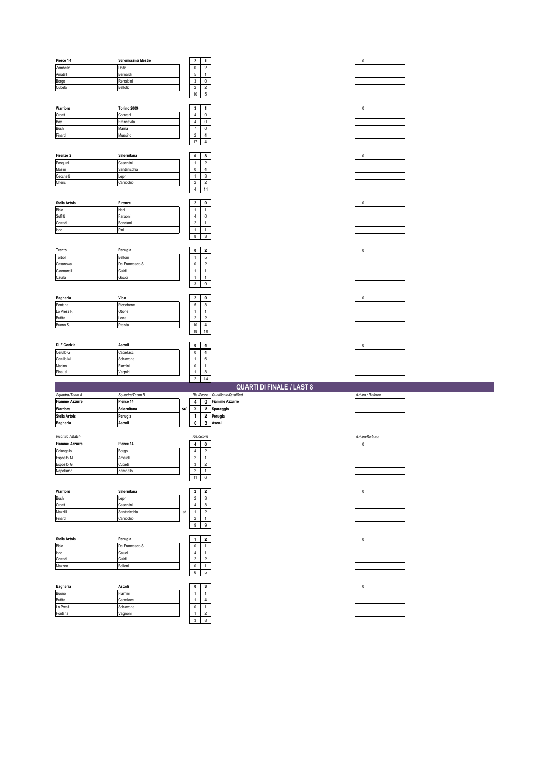| Pierce 14                 | Serenissima Mestre   |    | $\mathbf 2$                   | $\mathbf{1}$                       | $\pmb{0}$         |
|---------------------------|----------------------|----|-------------------------------|------------------------------------|-------------------|
| Zambello                  | Dotto                |    | $\pmb{0}$                     | $\sqrt{2}$                         |                   |
| Amatelli                  | Bernardi             |    | $\mathbf 5$                   | $\mathbf{1}$                       |                   |
| Borgo                     | Renaldini            |    | $\ensuremath{\mathsf{3}}$     | $\mathbf 0$                        |                   |
| Cubeta                    | Bellotto             |    | $\sqrt{2}$                    | $\overline{2}$                     |                   |
|                           |                      |    | 10                            | $\mathsf{5}$                       |                   |
|                           |                      |    |                               |                                    |                   |
| Warriors                  | Torino 2009          |    | $\mathbf 3$                   | 1                                  | $\mathbf 0$       |
| Croati                    | Converti             |    | $\sqrt{4}$                    | $\mathbf 0$                        |                   |
| Bay                       | Francavilla          |    | $\sqrt{4}$                    | $\mathbf 0$                        |                   |
| Bush                      | Maina                |    | $\boldsymbol{7}$              | $\mathsf{O}\xspace$                |                   |
| Finardi                   | Mussino              |    | $\sqrt{2}$                    | $\sqrt{4}$                         |                   |
|                           |                      |    | 17                            | $\overline{4}$                     |                   |
|                           |                      |    |                               |                                    |                   |
| Firenze 2                 | Salernitana          |    | $\pmb{0}$                     | $\mathbf{3}$                       | $\mathbb O$       |
| Pasquini                  | Casentini            |    | $\mathbf{1}$                  | $\overline{2}$                     |                   |
| Masini                    | Santanicchia         |    | $\mathsf{0}$                  | $\overline{4}$                     |                   |
| Cecchetti                 | Lepri                |    | $\mathbf{1}$                  | $\mathbf{3}$                       |                   |
| Cherici                   | Canicchio            |    | $\sqrt{2}$                    | $\overline{2}$                     |                   |
|                           |                      |    | $\overline{4}$                | $11\,$                             |                   |
|                           |                      |    |                               |                                    |                   |
| Stella Artois             | Firenze              |    | $\overline{2}$                | $\mathbf 0$                        | $\pmb{0}$         |
| Bisio                     | Neri                 |    | $\mathbf{1}$                  | $\mathbf{1}$                       |                   |
| Suffritti                 | Faraoni              |    | $\sqrt{4}$                    | $\mathbf 0$                        |                   |
| Corradi                   | Bonciani             |    | $\sqrt{2}$                    | $\,1\,$                            |                   |
| lorio                     | Pini                 |    | $\mathbf{1}$                  | $\mathbf{1}$                       |                   |
|                           |                      |    | $\bf 8$                       | $\mathsf 3$                        |                   |
|                           |                      |    |                               |                                    |                   |
| Trento                    | Perugia              |    | $\pmb{0}$                     | $\overline{2}$                     | $\mathbf 0$       |
| Torboli                   | Belloni              |    | $\mathbf{1}$                  | $\,$ 5 $\,$                        |                   |
| Casanova                  | De Francesco S.      |    | $\pmb{0}$                     | $\overline{2}$                     |                   |
| Giannarelli               | Guidi                |    | $\mathbf{1}$                  | $\mathbf{1}$                       |                   |
| Caurla                    | Gauci                |    | $\mathbf{1}$                  | $\mathbf 1$                        |                   |
|                           |                      |    | $\mathsf 3$                   | 9                                  |                   |
|                           |                      |    |                               |                                    |                   |
| Bagheria                  | Vibo                 |    | $\boldsymbol{2}$              | 0                                  | $\mathbf 0$       |
| Fontana                   | Riccobene            |    | $\mathbf 5$                   | 3                                  |                   |
| Lo Presti F               | Ottone               |    | $\mathbf{1}$                  | $\mathbf{1}$                       |                   |
| Butitta                   | Lena                 |    | $\sqrt{2}$                    | $\overline{2}$                     |                   |
| Buono S                   | Prestia              |    | $10\,$                        | $\overline{4}$                     |                   |
|                           |                      |    |                               |                                    |                   |
|                           |                      |    |                               |                                    |                   |
|                           |                      |    | 18                            | 10                                 |                   |
|                           |                      |    |                               |                                    |                   |
| <b>DLF Gorizia</b>        | Ascoli               |    | $\pmb{0}$                     | $\overline{\mathbf{4}}$            | $\mathbf 0$       |
| Cerullo G.                | Capellacci           |    | $\pmb{0}$                     | $\overline{4}$                     |                   |
| Cerullo M.                | Schiavone            |    | $\mathbf{1}$                  | $\boldsymbol{6}$                   |                   |
| Macino                    | Flamini              |    | $\pmb{0}$                     | $\mathbf{1}$                       |                   |
| Pinausi                   | Vagnini              |    | $\mathbf{1}$                  | $\mathsf 3$                        |                   |
|                           |                      |    | $\sqrt{2}$                    | $14$                               |                   |
|                           |                      |    |                               | <b>QUARTI DI FINALE / LAST 8</b>   |                   |
| Squadra/Team A            | Squadra/Team B       |    | Ris/Score                     | Qualificato/Qualified              | Arbitro / Referee |
| <b>Fiamme Azzurre</b>     | Pierce 14            |    | $\overline{4}$                | <b>Fiamme Azzurre</b><br>$\pmb{0}$ |                   |
| Warriors                  | Salernitana          | sd | $\overline{\mathbf{2}}$       | $\overline{2}$<br>Spareggio        |                   |
| Stella Artois             | Perugia              |    | $\overline{1}$                | $\overline{2}$<br>Perugia          |                   |
| <b>Bagheria</b>           | Ascoli               |    | $\overline{\mathbf{0}}$       | $\overline{\mathbf{3}}$<br>Ascoli  |                   |
|                           |                      |    |                               |                                    |                   |
| Incontro / Match          |                      |    | Ris/Score                     |                                    | Arbitro/Referee   |
| <b>Fiamme Azzurre</b>     | Pierce 14            |    | 4                             | $\pmb{0}$                          | $\mathbf 0$       |
| Colangelo                 | Borgo                |    | $\overline{4}$                | $\overline{2}$                     |                   |
| Esposito M.               | Amatelli             |    | $\sqrt{2}$                    | $\mathbf 1$                        |                   |
| Esposito G.<br>Napolitano | Cubeta<br>ambello    |    | $\mathsf 3$<br>$\overline{2}$ | $\overline{2}$<br>$\mathbf{1}$     |                   |
|                           |                      |    |                               |                                    |                   |
|                           |                      |    | 11                            | $6\overline{6}$                    |                   |
|                           |                      |    |                               |                                    |                   |
| Warriors                  | Salernitana          |    | $\overline{\mathbf{2}}$       | $\overline{2}$                     | $\mathbf 0$       |
| Bush                      | Lepri                |    | $\overline{\mathbf{2}}$       | $\mathbf{3}$                       |                   |
| Croati                    | Casentini            |    | 4                             | 3                                  |                   |
| Mazzilli                  | Santanicchia         | sd | $\mathbf{1}$                  | $\sqrt{2}$<br>$\mathbf{1}$         |                   |
|                           | Canicchio            |    | $\sqrt{2}$                    |                                    |                   |
|                           |                      |    | $\mathsf g$                   | 9                                  |                   |
| Finardi                   |                      |    |                               |                                    |                   |
| Stella Artois             | Perugia              |    | $\mathbf{1}$                  | $\overline{2}$                     | $\mathbf 0$       |
|                           | De Francesco S.      |    | $\pmb{0}$                     | $\mathbf{1}$                       |                   |
| lorio                     | Gauci                |    | $\sqrt{4}$                    | $\mathbf 1$                        |                   |
| Corradi                   | Guidi                |    | $\sqrt{2}$                    | $\overline{2}$                     |                   |
| Mazzeo                    | Belloni              |    | $\pmb{0}$                     | $\mathbf 1$                        |                   |
| Bisio                     |                      |    | $\boldsymbol{6}$              | $\mathbf 5$                        |                   |
|                           |                      |    |                               |                                    |                   |
| Bagheria                  | Ascoli               |    | $\pmb{0}$                     | $\mathbf{3}$                       | $\mathbf 0$       |
| Buono                     | Flamini              |    | $\mathbf{1}$                  | $\,$ 1 $\,$                        |                   |
| Butitta                   | Capellacci           |    | $\mathbf{1}$                  | $\overline{4}$                     |                   |
| Lo Presti<br>Fontana      | Schiavone<br>Vagnoni |    | $\pmb{0}$<br>$\mathbf{1}$     | $\,1\,$<br>$\overline{2}$          |                   |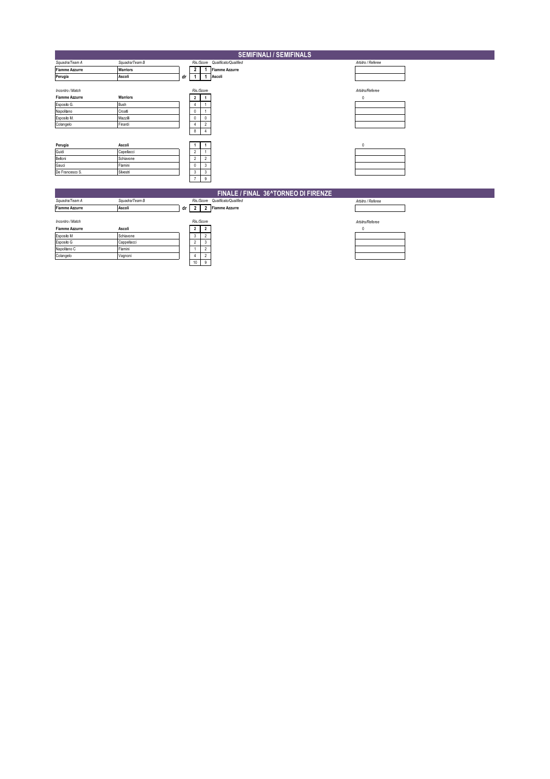| <b>SEMIFINALI / SEMIFINALS</b>                                                                     |                                                           |    |                                                               |                                       |                                 |                                 |  |  |  |
|----------------------------------------------------------------------------------------------------|-----------------------------------------------------------|----|---------------------------------------------------------------|---------------------------------------|---------------------------------|---------------------------------|--|--|--|
| Squadra/Team A                                                                                     | Squadra/Team B                                            |    |                                                               |                                       | Ris/Score Qualificato/Qualified | Arbitro / Referee               |  |  |  |
| <b>Fiamme Azzurre</b>                                                                              | Warriors                                                  |    | $\overline{2}$                                                | $\mathbf{1}$                          | <b>Fiamme Azzurre</b>           |                                 |  |  |  |
| Perugia                                                                                            | Ascoli                                                    | dr | 1                                                             |                                       | Ascoli                          |                                 |  |  |  |
| Incontro / Match<br><b>Fiamme Azzurre</b><br>Esposito G.<br>Napolitano<br>Esposito M.<br>Colangelo | Warriors<br>Bush<br>Croatti<br>Mazzili<br>Finardi         |    | Ris/Score<br>2<br>4<br>0<br>$^{\circ}$<br>$\overline{4}$<br>8 | 0<br>$\overline{2}$<br>$\overline{4}$ |                                 | Arbitro/Referee<br>$\mathbf{0}$ |  |  |  |
| Perugia<br>Guidi<br>Belloni<br>Gauci<br>De Francesco S.                                            | Ascoli<br>Capellacci<br>Schiavone<br>Flamini<br>Silvestri |    | $\overline{2}$<br>$\overline{2}$<br>$\mathbf{0}$<br>3<br>7    | $\overline{2}$<br>3<br>3<br>9         |                                 | $\mathbf{0}$                    |  |  |  |
| FINALE / FINAL 36^TORNEO DI FIRENZE                                                                |                                                           |    |                                                               |                                       |                                 |                                 |  |  |  |
| Squadra/Team A                                                                                     | Squadra/Team B                                            |    |                                                               |                                       | Ris/Score Qualificato/Qualified | Arbitro / Referee               |  |  |  |
| Fiamme Azzurre                                                                                     | Ascoli                                                    | dr | $\overline{2}$                                                |                                       | 2 Fiamme Azzurre                |                                 |  |  |  |
| Incontro / Match<br><b>Fiamme Azzurre</b>                                                          | Ascoli                                                    |    | Ris/Score<br>$\overline{2}$                                   | $\overline{2}$                        |                                 | Arbitro/Referee<br>0            |  |  |  |
| Esposito M                                                                                         | Schiavone                                                 |    | 3                                                             | $\overline{2}$                        |                                 |                                 |  |  |  |
| Esposito G                                                                                         | Cappellacci                                               |    | $\overline{2}$                                                | 3                                     |                                 |                                 |  |  |  |
| Napolitano C                                                                                       | Flamini                                                   |    | J.                                                            | $\overline{2}$                        |                                 |                                 |  |  |  |
| Colangelo                                                                                          | Vagnoni                                                   |    | 4<br>$10$                                                     | $\overline{2}$<br>9                   |                                 |                                 |  |  |  |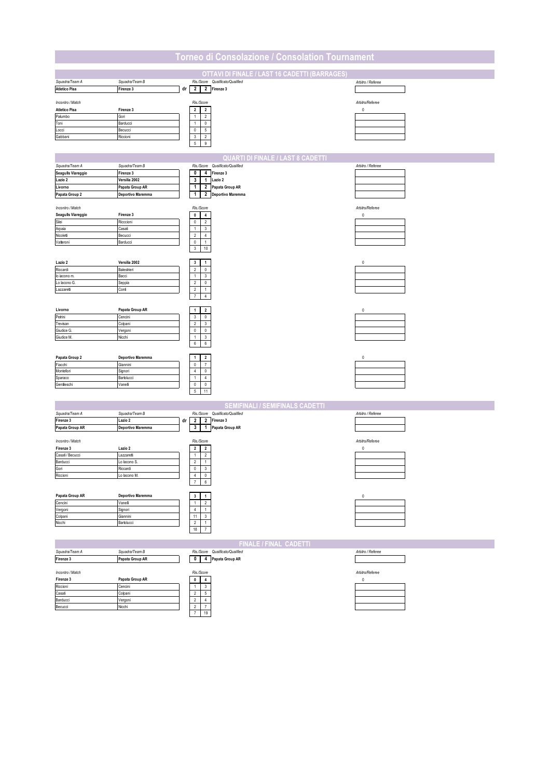| Torneo di Consolazione / Consolation Tournament |                                   |                                                                        |                   |  |  |  |  |  |  |
|-------------------------------------------------|-----------------------------------|------------------------------------------------------------------------|-------------------|--|--|--|--|--|--|
|                                                 |                                   |                                                                        |                   |  |  |  |  |  |  |
|                                                 |                                   | OTTAVI DI FINALE / LAST 16 CADETTI (BARRAGES)                          | Arbitro / Referee |  |  |  |  |  |  |
| Squadra/Team A<br><b>Atletico Pisa</b>          | Squadra/Team B<br>Firenze 3       | Ris/Score Qualificato/Qualified<br>$\overline{2}$<br>2 Firenze 3<br>dr |                   |  |  |  |  |  |  |
|                                                 |                                   |                                                                        |                   |  |  |  |  |  |  |
| Incontro / Match                                |                                   | Ris/Score                                                              | Arbitro/Referee   |  |  |  |  |  |  |
| <b>Atletico Pisa</b>                            | Firenze 3                         | $\overline{\mathbf{2}}$<br>$\overline{2}$                              | $\pmb{0}$         |  |  |  |  |  |  |
| Palumbo<br>Toni                                 | Gori<br>Barducci                  | $\overline{2}$<br>$\mathbf{1}$<br>$\mathsf{O}$<br>$\mathbf{1}$         |                   |  |  |  |  |  |  |
| Locci                                           | Becucci                           | $\mathbf 0$<br>$\mathbf 5$                                             |                   |  |  |  |  |  |  |
| Gabbani                                         | Riccioni                          | $\mathsf 3$<br>$\overline{2}$                                          |                   |  |  |  |  |  |  |
|                                                 |                                   | $\sqrt{5}$<br>$9\,$                                                    |                   |  |  |  |  |  |  |
|                                                 |                                   | <b>QUARTI DI FINALE / LAST 8 CADETTI</b>                               |                   |  |  |  |  |  |  |
| Squadra/Team A                                  | Squadra/Team B                    | Ris/Score Qualificato/Qualified                                        | Arbitro / Referee |  |  |  |  |  |  |
| Seagulls Viareggio                              | Firenze 3                         | $\mathbf 0$<br>4 Firenze 3                                             |                   |  |  |  |  |  |  |
| Lazio 2                                         | Versilia 2002                     | 1 Lazio 2<br>3                                                         |                   |  |  |  |  |  |  |
| Livorno                                         | Papata Group AR                   | 2 Papata Group AR<br>$\mathbf{1}$                                      |                   |  |  |  |  |  |  |
| Papata Group 2                                  | Deportivo Maremma                 | $\mathbf{1}$<br>2 Deportivo Maremma                                    |                   |  |  |  |  |  |  |
| Incontro / Match                                |                                   | Ris/Score                                                              | Arbitro/Referee   |  |  |  |  |  |  |
| Seagulls Viareggio                              | Firenze 3                         | $\pmb{0}$<br>$\overline{4}$                                            | $\mathbf 0$       |  |  |  |  |  |  |
| Silei                                           | Ricccioni                         | $\mathbb O$<br>$\overline{2}$                                          |                   |  |  |  |  |  |  |
| Arpaia                                          | Casati                            | $\mathbf{3}$<br>$\mathbf{1}$                                           |                   |  |  |  |  |  |  |
| Nicoletti<br>Vatteroni                          | Becucci<br>Barducci               | $\sqrt{2}$<br>$\sqrt{4}$<br>$\mathbf 0$<br>$\mathbf{1}$                |                   |  |  |  |  |  |  |
|                                                 |                                   | $\sqrt{3}$<br>$10\,$                                                   |                   |  |  |  |  |  |  |
|                                                 |                                   |                                                                        |                   |  |  |  |  |  |  |
| Lazio 2                                         | Versilia 2002                     | $\mathbf{3}$<br>$\mathbf{1}$                                           | $\mathbf{0}$      |  |  |  |  |  |  |
| Riccardi                                        | Balestrieri                       | $\sqrt{2}$<br>$\mathbf 0$                                              |                   |  |  |  |  |  |  |
| lo iacono m.<br>Lo lacono G.                    | Bacci<br>Seppia                   | $\,1\,$<br>$\mathbf{3}$<br>$\overline{\mathbf{c}}$<br>$\mathbf 0$      |                   |  |  |  |  |  |  |
| Lazzaretí                                       | Confi                             | $\sqrt{2}$<br>$\mathbf{1}$                                             |                   |  |  |  |  |  |  |
|                                                 |                                   | $\boldsymbol{7}$<br>$\overline{4}$                                     |                   |  |  |  |  |  |  |
|                                                 |                                   |                                                                        |                   |  |  |  |  |  |  |
| Livorno                                         | Papata Group AR                   | $\mathbf{1}$<br>$\overline{\mathbf{2}}$                                | $\bf{0}$          |  |  |  |  |  |  |
| Petrini<br>Trevisan                             | Cencini<br>Colpani                | 3<br>$\bf{0}$<br>$\sqrt{2}$<br>$\mathbf{3}$                            |                   |  |  |  |  |  |  |
| Giudice G.                                      | Vergoni                           | $\mathbb O$<br>$\mathbf 0$                                             |                   |  |  |  |  |  |  |
| Giudice M.                                      | Nicchi                            | $\,$ 1 $\,$<br>$\mathsf 3$                                             |                   |  |  |  |  |  |  |
|                                                 |                                   | $\boldsymbol{6}$<br>$\boldsymbol{6}$                                   |                   |  |  |  |  |  |  |
| Papata Group 2                                  | Deportivo Maremma                 | $\overline{\mathbf{2}}$<br>$\ddot{\phantom{0}}$                        | 0                 |  |  |  |  |  |  |
| Fiacchi                                         | Giannini                          | $\mathbb O$<br>$\overline{7}$                                          |                   |  |  |  |  |  |  |
| Montefiori                                      | Signori                           | $\sqrt{4}$<br>$\pmb{0}$                                                |                   |  |  |  |  |  |  |
| Sparaco                                         | Bartolucci                        | $\mathbf 1$<br>$\overline{4}$                                          |                   |  |  |  |  |  |  |
| Gentileschi                                     | Vanelli                           | $\pmb{0}$<br>$\mathbf 0$<br>11<br>$\mathbf 5$                          |                   |  |  |  |  |  |  |
|                                                 |                                   |                                                                        |                   |  |  |  |  |  |  |
|                                                 |                                   | <b>SEMIFINALI / SEMIFINALS CADETTI</b>                                 |                   |  |  |  |  |  |  |
| Squadra/Team A                                  | Squadra/Team B                    | Qualificato/Qualified<br>Ris/Score                                     | Arbitro / Referee |  |  |  |  |  |  |
| Firenze 3                                       | Lazio 2                           | $\mathbf{2}$<br>$\overline{2}$<br>Firenze 3<br>dr                      |                   |  |  |  |  |  |  |
| Papata Group AR                                 | Deportivo Maremma                 | $\mathbf{3}$<br>1 Papata Group AR                                      |                   |  |  |  |  |  |  |
| Incontro / Match                                |                                   | Ris/Score                                                              | Arbitro/Referee   |  |  |  |  |  |  |
| Firenze 3                                       | Lazio 2                           | $\overline{\mathbf{2}}$<br>$\overline{2}$                              | $\pmb{0}$         |  |  |  |  |  |  |
| Casaf / Becucci                                 | Lazzaretti                        | $\mathbf{1}$<br>$\overline{2}$                                         |                   |  |  |  |  |  |  |
| Barducci                                        | Lo lacono S.                      | $\sqrt{2}$<br>$\mathbf{1}$<br>$\overline{0}$<br>$\overline{3}$         |                   |  |  |  |  |  |  |
| эоп<br>Riccioni                                 | ≺iccardi<br>Lo lacono M.          | $\sqrt{4}$<br>$\mathbf 0$                                              |                   |  |  |  |  |  |  |
|                                                 |                                   | $\overline{7}$<br>$\,6\,$                                              |                   |  |  |  |  |  |  |
|                                                 |                                   |                                                                        |                   |  |  |  |  |  |  |
| Papata Group AR                                 | Deportivo Maremma                 | 3                                                                      | 0                 |  |  |  |  |  |  |
| Cencini                                         | Vanelli                           | $\mathbf{1}$<br>$\overline{2}$<br>$\sqrt{4}$<br>$\overline{1}$         |                   |  |  |  |  |  |  |
| Vergoni<br>Colpani                              | Signori<br>Giannini               | $11$<br>$\mathbf{3}$                                                   |                   |  |  |  |  |  |  |
| Nicchi                                          | Bartolucci                        | $\sqrt{2}$<br>$\mathbf{1}$                                             |                   |  |  |  |  |  |  |
|                                                 |                                   | $18\,$<br>$\boldsymbol{7}$                                             |                   |  |  |  |  |  |  |
|                                                 |                                   |                                                                        |                   |  |  |  |  |  |  |
|                                                 |                                   | <b>FINALE / FINAL CADETTI</b>                                          |                   |  |  |  |  |  |  |
| Squadra/Team A<br>Firenze 3                     | Squadra/Team B<br>Papata Group AR | Ris/Score Qualificato/Qualified<br>$\mathbf 0$<br>4<br>Papata Group AR | Arbitro / Referee |  |  |  |  |  |  |
|                                                 |                                   |                                                                        |                   |  |  |  |  |  |  |
| Incontro / Match                                |                                   | Ris/Score                                                              | Arbitro/Referee   |  |  |  |  |  |  |
| Firenze 3                                       | Papata Group AR                   | $\pmb{0}$<br>4                                                         | 0                 |  |  |  |  |  |  |
| Riccioni                                        | Cencini                           | $\overline{1}$<br>3                                                    |                   |  |  |  |  |  |  |
| Casati<br>Barducci                              | Colpani<br>Vergoni                | $\sqrt{2}$<br>5<br>$\sqrt{2}$<br>$\overline{4}$                        |                   |  |  |  |  |  |  |
| Becucci                                         | Nicchi                            | $\sqrt{2}$<br>$\overline{7}$                                           |                   |  |  |  |  |  |  |
|                                                 |                                   | 19<br>$\overline{7}$                                                   |                   |  |  |  |  |  |  |